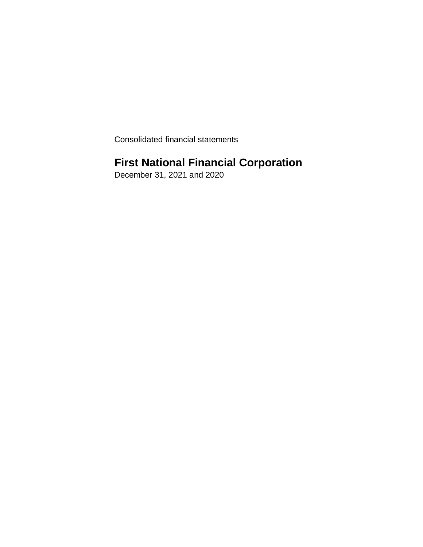Consolidated financial statements

# **First National Financial Corporation**

December 31, 2021 and 2020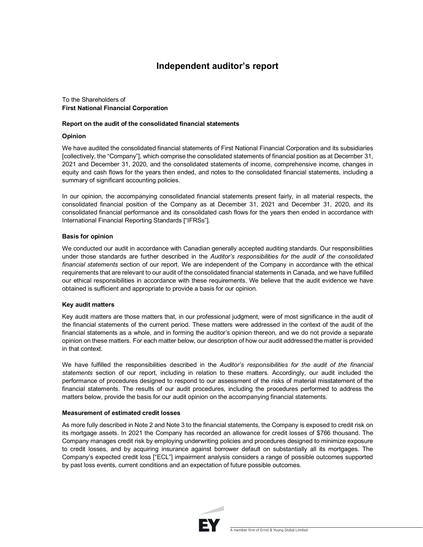## **Independent auditor's report**

### To the Shareholders of **First National Financial Corporation**

### **Report on the audit of the consolidated financial statements**

### **Opinion**

We have audited the consolidated financial statements of First National Financial Corporation and its subsidiaries [collectively, the "Company"], which comprise the consolidated statements of financial position as at December 31, 2021 and December 31, 2020, and the consolidated statements of income, comprehensive income, changes in equity and cash flows for the years then ended, and notes to the consolidated financial statements, including a summary of significant accounting policies.

In our opinion, the accompanying consolidated financial statements present fairly, in all material respects, the consolidated financial position of the Company as at December 31, 2021 and December 31, 2020, and its consolidated financial performance and its consolidated cash flows for the years then ended in accordance with International Financial Reporting Standards ["IFRSs"].

### **Basis for opinion**

We conducted our audit in accordance with Canadian generally accepted auditing standards. Our responsibilities under those standards are further described in the *Auditor's responsibilities for the audit of the consolidated financial statements* section of our report. We are independent of the Company in accordance with the ethical requirements that are relevant to our audit of the consolidated financial statements in Canada, and we have fulfilled our ethical responsibilities in accordance with these requirements. We believe that the audit evidence we have obtained is sufficient and appropriate to provide a basis for our opinion.

### **Key audit matters**

Key audit matters are those matters that, in our professional judgment, were of most significance in the audit of the financial statements of the current period. These matters were addressed in the context of the audit of the financial statements as a whole, and in forming the auditor's opinion thereon, and we do not provide a separate opinion on these matters. For each matter below, our description of how our audit addressed the matter is provided in that context.

We have fulfilled the responsibilities described in the *Auditor's responsibilities for the audit of the financial statements* section of our report, including in relation to these matters. Accordingly, our audit included the performance of procedures designed to respond to our assessment of the risks of material misstatement of the financial statements. The results of our audit procedures, including the procedures performed to address the matters below, provide the basis for our audit opinion on the accompanying financial statements.

### **Measurement of estimated credit losses**

As more fully described in Note 2 and Note 3 to the financial statements, the Company is exposed to credit risk on its mortgage assets. In 2021 the Company has recorded an allowance for credit losses of \$766 thousand. The Company manages credit risk by employing underwriting policies and procedures designed to minimize exposure to credit losses, and by acquiring insurance against borrower default on substantially all its mortgages. The Company's expected credit loss ["ECL"] impairment analysis considers a range of possible outcomes supported by past loss events, current conditions and an expectation of future possible outcomes.

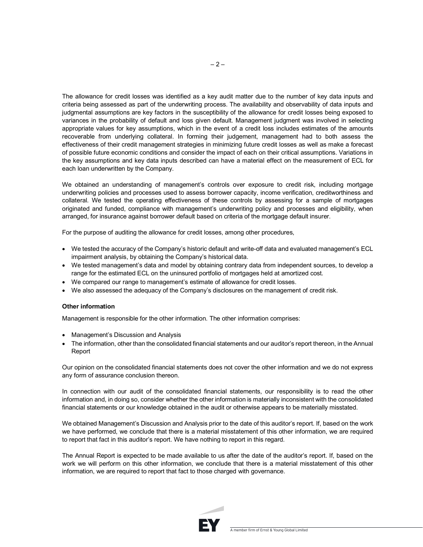The allowance for credit losses was identified as a key audit matter due to the number of key data inputs and criteria being assessed as part of the underwriting process. The availability and observability of data inputs and judgmental assumptions are key factors in the susceptibility of the allowance for credit losses being exposed to variances in the probability of default and loss given default. Management judgment was involved in selecting appropriate values for key assumptions, which in the event of a credit loss includes estimates of the amounts recoverable from underlying collateral. In forming their judgement, management had to both assess the effectiveness of their credit management strategies in minimizing future credit losses as well as make a forecast of possible future economic conditions and consider the impact of each on their critical assumptions. Variations in the key assumptions and key data inputs described can have a material effect on the measurement of ECL for each loan underwritten by the Company.

We obtained an understanding of management's controls over exposure to credit risk, including mortgage underwriting policies and processes used to assess borrower capacity, income verification, creditworthiness and collateral. We tested the operating effectiveness of these controls by assessing for a sample of mortgages originated and funded, compliance with management's underwriting policy and processes and eligibility, when arranged, for insurance against borrower default based on criteria of the mortgage default insurer.

For the purpose of auditing the allowance for credit losses, among other procedures,

- We tested the accuracy of the Company's historic default and write-off data and evaluated management's ECL impairment analysis, by obtaining the Company's historical data.
- We tested management's data and model by obtaining contrary data from independent sources, to develop a range for the estimated ECL on the uninsured portfolio of mortgages held at amortized cost.
- We compared our range to management's estimate of allowance for credit losses.
- We also assessed the adequacy of the Company's disclosures on the management of credit risk.

#### **Other information**

Management is responsible for the other information. The other information comprises:

- Management's Discussion and Analysis
- The information, other than the consolidated financial statements and our auditor's report thereon, in the Annual Report

Our opinion on the consolidated financial statements does not cover the other information and we do not express any form of assurance conclusion thereon.

In connection with our audit of the consolidated financial statements, our responsibility is to read the other information and, in doing so, consider whether the other information is materially inconsistent with the consolidated financial statements or our knowledge obtained in the audit or otherwise appears to be materially misstated.

We obtained Management's Discussion and Analysis prior to the date of this auditor's report. If, based on the work we have performed, we conclude that there is a material misstatement of this other information, we are required to report that fact in this auditor's report. We have nothing to report in this regard.

The Annual Report is expected to be made available to us after the date of the auditor's report. If, based on the work we will perform on this other information, we conclude that there is a material misstatement of this other information, we are required to report that fact to those charged with governance.

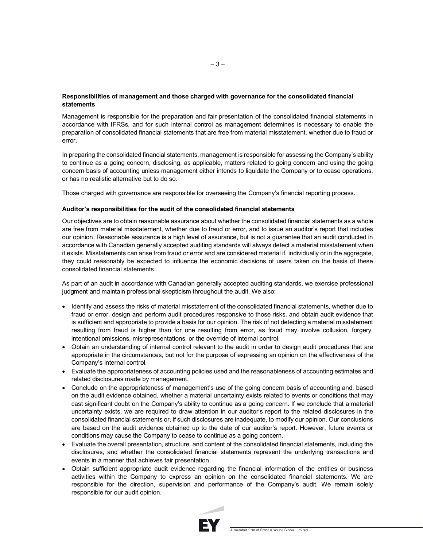### **Responsibilities of management and those charged with governance for the consolidated financial statements**

Management is responsible for the preparation and fair presentation of the consolidated financial statements in accordance with IFRSs, and for such internal control as management determines is necessary to enable the preparation of consolidated financial statements that are free from material misstatement, whether due to fraud or error.

In preparing the consolidated financial statements, management is responsible for assessing the Company's ability to continue as a going concern, disclosing, as applicable, matters related to going concern and using the going concern basis of accounting unless management either intends to liquidate the Company or to cease operations, or has no realistic alternative but to do so.

Those charged with governance are responsible for overseeing the Company's financial reporting process.

### **Auditor's responsibilities for the audit of the consolidated financial statements**

Our objectives are to obtain reasonable assurance about whether the consolidated financial statements as a whole are free from material misstatement, whether due to fraud or error, and to issue an auditor's report that includes our opinion. Reasonable assurance is a high level of assurance, but is not a guarantee that an audit conducted in accordance with Canadian generally accepted auditing standards will always detect a material misstatement when it exists. Misstatements can arise from fraud or error and are considered material if, individually or in the aggregate, they could reasonably be expected to influence the economic decisions of users taken on the basis of these consolidated financial statements.

As part of an audit in accordance with Canadian generally accepted auditing standards, we exercise professional judgment and maintain professional skepticism throughout the audit. We also:

- Identify and assess the risks of material misstatement of the consolidated financial statements, whether due to fraud or error, design and perform audit procedures responsive to those risks, and obtain audit evidence that is sufficient and appropriate to provide a basis for our opinion. The risk of not detecting a material misstatement resulting from fraud is higher than for one resulting from error, as fraud may involve collusion, forgery, intentional omissions, misrepresentations, or the override of internal control.
- Obtain an understanding of internal control relevant to the audit in order to design audit procedures that are appropriate in the circumstances, but not for the purpose of expressing an opinion on the effectiveness of the Company's internal control.
- Evaluate the appropriateness of accounting policies used and the reasonableness of accounting estimates and related disclosures made by management.
- Conclude on the appropriateness of management's use of the going concern basis of accounting and, based on the audit evidence obtained, whether a material uncertainty exists related to events or conditions that may cast significant doubt on the Company's ability to continue as a going concern. If we conclude that a material uncertainty exists, we are required to draw attention in our auditor's report to the related disclosures in the consolidated financial statements or, if such disclosures are inadequate, to modify our opinion. Our conclusions are based on the audit evidence obtained up to the date of our auditor's report. However, future events or conditions may cause the Company to cease to continue as a going concern.
- Evaluate the overall presentation, structure, and content of the consolidated financial statements, including the disclosures, and whether the consolidated financial statements represent the underlying transactions and events in a manner that achieves fair presentation.
- Obtain sufficient appropriate audit evidence regarding the financial information of the entities or business activities within the Company to express an opinion on the consolidated financial statements. We are responsible for the direction, supervision and performance of the Company's audit. We remain solely responsible for our audit opinion.

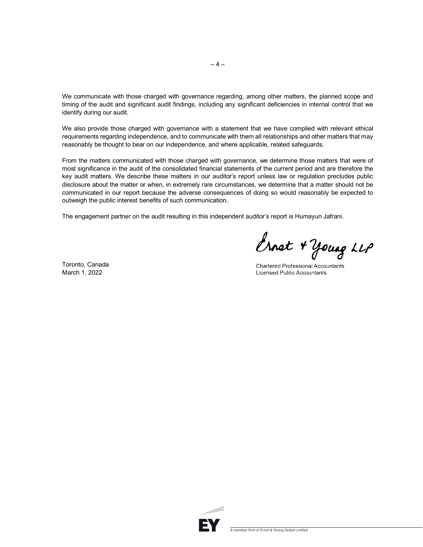We communicate with those charged with governance regarding, among other matters, the planned scope and timing of the audit and significant audit findings, including any significant deficiencies in internal control that we identify during our audit.

We also provide those charged with governance with a statement that we have complied with relevant ethical requirements regarding independence, and to communicate with them all relationships and other matters that may reasonably be thought to bear on our independence, and where applicable, related safeguards.

From the matters communicated with those charged with governance, we determine those matters that were of most significance in the audit of the consolidated financial statements of the current period and are therefore the key audit matters. We describe these matters in our auditor's report unless law or regulation precludes public disclosure about the matter or when, in extremely rare circumstances, we determine that a matter should not be communicated in our report because the adverse consequences of doing so would reasonably be expected to outweigh the public interest benefits of such communication.

The engagement partner on the audit resulting in this independent auditor's report is Humayun Jafrani.

Ernst + young LLP

Toronto, Canada March 1, 2022

**Chartered Professional Accountants Licensed Public Accountants** 

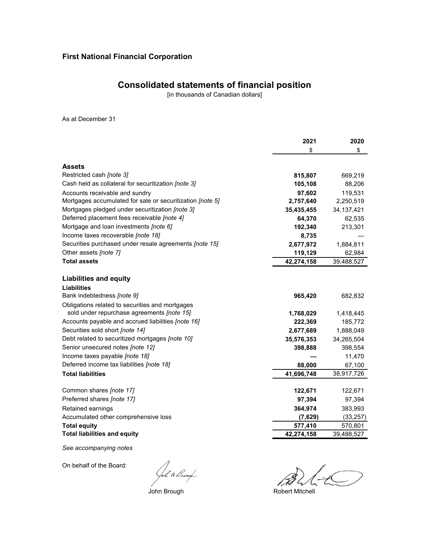## **Consolidated statements of financial position**

[in thousands of Canadian dollars]

As at December 31

|                                                           | 2021       | 2020         |
|-----------------------------------------------------------|------------|--------------|
|                                                           | \$         | \$           |
|                                                           |            |              |
| <b>Assets</b>                                             |            |              |
| Restricted cash [note 3]                                  | 815,807    | 669,219      |
| Cash held as collateral for securitization [note 3]       | 105,108    | 88,206       |
| Accounts receivable and sundry                            | 97,602     | 119,531      |
| Mortgages accumulated for sale or securitization [note 5] | 2,757,640  | 2,250,519    |
| Mortgages pledged under securitization [note 3]           | 35,435,455 | 34, 137, 421 |
| Deferred placement fees receivable [note 4]               | 64,370     | 62,535       |
| Mortgage and loan investments [note 6]                    | 192,340    | 213,301      |
| Income taxes recoverable [note 18]                        | 8,735      |              |
| Securities purchased under resale agreements [note 15]    | 2,677,972  | 1,884,811    |
| Other assets [note 7]                                     | 119,129    | 62,984       |
| <b>Total assets</b>                                       | 42,274,158 | 39,488,527   |
|                                                           |            |              |
| <b>Liabilities and equity</b>                             |            |              |
| <b>Liabilities</b>                                        |            |              |
| Bank indebtedness [note 9]                                | 965,420    | 682,832      |
| Obligations related to securities and mortgages           |            |              |
| sold under repurchase agreements [note 15]                | 1,768,029  | 1,418,445    |
| Accounts payable and accrued liabilities [note 16]        | 222,369    | 185,772      |
| Securities sold short [note 14]                           | 2,677,689  | 1,888,049    |
| Debt related to securitized mortgages [note 10]           | 35,576,353 | 34,265,504   |
| Senior unsecured notes [note 12]                          | 398,888    | 398,554      |
| Income taxes payable [note 18]                            |            | 11,470       |
| Deferred income tax liabilities [note 18]                 | 88,000     | 67,100       |
| <b>Total liabilities</b>                                  | 41,696,748 | 38,917,726   |
|                                                           |            |              |
| Common shares [note 17]                                   | 122,671    | 122,671      |
| Preferred shares [note 17]                                | 97,394     | 97,394       |
| Retained earnings                                         | 364,974    | 383,993      |
| Accumulated other comprehensive loss                      | (7,629)    | (33, 257)    |
| <b>Total equity</b>                                       | 577,410    | 570,801      |
| <b>Total liabilities and equity</b>                       | 42,274,158 | 39,488,527   |

*See accompanying notes*

On behalf of the Board:

John Brough<br>John Brough Robert Mitchell

 $\sqrt{2}$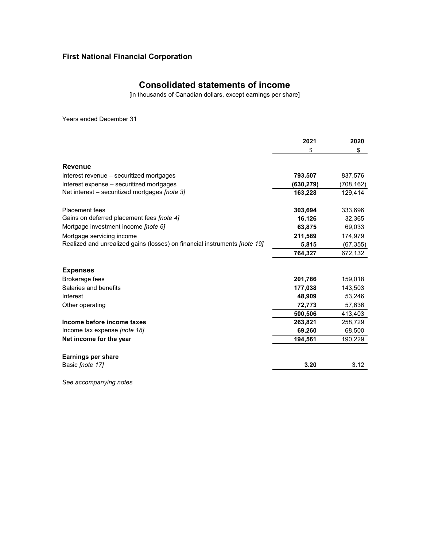## **Consolidated statements of income**

[in thousands of Canadian dollars, except earnings per share]

Years ended December 31

|                                                                                  | 2021      | 2020      |
|----------------------------------------------------------------------------------|-----------|-----------|
|                                                                                  | \$        | \$        |
| Revenue                                                                          |           |           |
| Interest revenue – securitized mortgages                                         | 793,507   | 837,576   |
| Interest expense - securitized mortgages                                         | (630,279) | (708,162) |
| Net interest – securitized mortgages [note 3]                                    | 163,228   | 129,414   |
| <b>Placement</b> fees                                                            | 303,694   | 333,696   |
| Gains on deferred placement fees [note 4]                                        | 16,126    | 32,365    |
| Mortgage investment income <i>[note 6]</i>                                       | 63,875    | 69,033    |
| Mortgage servicing income                                                        | 211,589   | 174,979   |
| Realized and unrealized gains (losses) on financial instruments <i>[note 19]</i> | 5,815     | (67, 355) |
|                                                                                  | 764,327   | 672,132   |
| <b>Expenses</b>                                                                  |           |           |
| Brokerage fees                                                                   | 201,786   | 159,018   |
| Salaries and benefits                                                            | 177,038   | 143,503   |
| Interest                                                                         | 48,909    | 53,246    |
| Other operating                                                                  | 72,773    | 57,636    |
|                                                                                  | 500,506   | 413,403   |
| Income before income taxes                                                       | 263,821   | 258,729   |
| Income tax expense [note 18]                                                     | 69,260    | 68,500    |
| Net income for the year                                                          | 194,561   | 190,229   |
| <b>Earnings per share</b>                                                        |           |           |
| Basic <i>(note 17)</i>                                                           | 3.20      | 3.12      |

*See accompanying notes*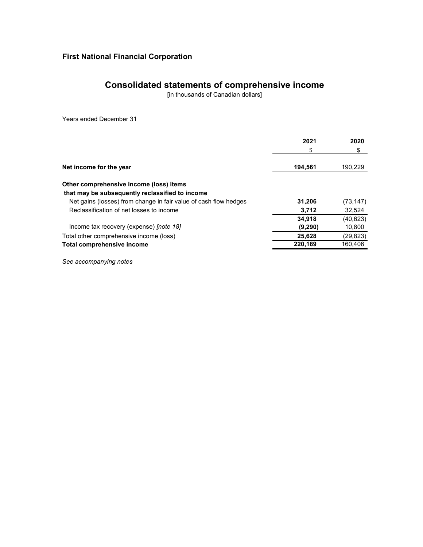# **Consolidated statements of comprehensive income**

[in thousands of Canadian dollars]

Years ended December 31

|                                                                  | 2021    | 2020      |
|------------------------------------------------------------------|---------|-----------|
|                                                                  | \$      | \$        |
| Net income for the year                                          | 194,561 | 190,229   |
| Other comprehensive income (loss) items                          |         |           |
| that may be subsequently reclassified to income                  |         |           |
| Net gains (losses) from change in fair value of cash flow hedges | 31,206  | (73, 147) |
| Reclassification of net losses to income                         | 3,712   | 32,524    |
|                                                                  | 34,918  | (40, 623) |
| Income tax recovery (expense) <i>[note 18]</i>                   | (9,290) | 10,800    |
| Total other comprehensive income (loss)                          | 25,628  | (29, 823) |
| Total comprehensive income                                       | 220.189 | 160,406   |
|                                                                  |         |           |

*See accompanying notes*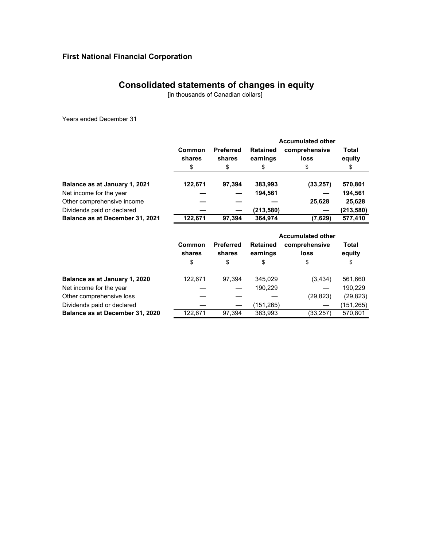## **Consolidated statements of changes in equity**

[in thousands of Canadian dollars]

Years ended December 31

|                                 |                        |                                  |                                   | <b>Accumulated other</b>    |                       |
|---------------------------------|------------------------|----------------------------------|-----------------------------------|-----------------------------|-----------------------|
|                                 | Common<br>shares<br>\$ | <b>Preferred</b><br>shares<br>\$ | <b>Retained</b><br>earnings<br>\$ | comprehensive<br>loss<br>\$ | Total<br>equity<br>\$ |
|                                 |                        |                                  |                                   |                             |                       |
| Balance as at January 1, 2021   | 122,671                | 97,394                           | 383,993                           | (33, 257)                   | 570,801               |
| Net income for the year         |                        |                                  | 194,561                           |                             | 194,561               |
| Other comprehensive income      |                        |                                  |                                   | 25,628                      | 25,628                |
| Dividends paid or declared      |                        |                                  | (213,580)                         |                             | (213, 580)            |
| Balance as at December 31, 2021 | 122.671                | 97,394                           | 364,974                           | (7,629)                     | 577,410               |

|                                 |                  |                            | <b>Accumulated other</b>    |                       |                 |  |
|---------------------------------|------------------|----------------------------|-----------------------------|-----------------------|-----------------|--|
|                                 | Common<br>shares | <b>Preferred</b><br>shares | <b>Retained</b><br>earnings | comprehensive<br>loss | Total<br>equity |  |
|                                 | \$               | \$                         | \$                          | \$                    | \$              |  |
| Balance as at January 1, 2020   | 122,671          | 97.394                     | 345.029                     | (3, 434)              | 561,660         |  |
| Net income for the year         |                  |                            | 190,229                     |                       | 190,229         |  |
| Other comprehensive loss        |                  |                            |                             | (29, 823)             | (29, 823)       |  |
| Dividends paid or declared      |                  |                            | (151,265)                   |                       | (151,265)       |  |
| Balance as at December 31, 2020 | 122.671          | 97.394                     | 383,993                     | (33,257)              | 570,801         |  |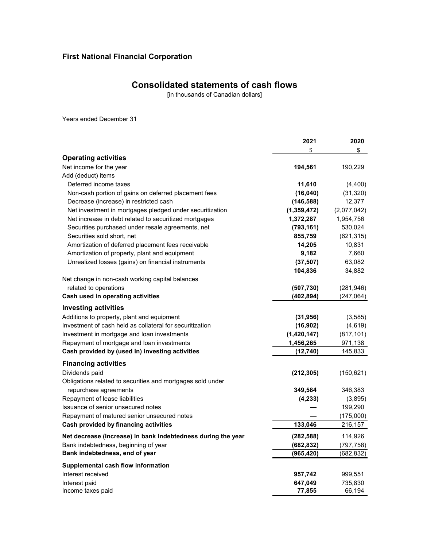## **Consolidated statements of cash flows**

[in thousands of Canadian dollars]

Years ended December 31

|                                                              | 2021        | 2020        |
|--------------------------------------------------------------|-------------|-------------|
|                                                              | \$          | \$          |
| <b>Operating activities</b>                                  |             |             |
| Net income for the year                                      | 194,561     | 190,229     |
| Add (deduct) items                                           |             |             |
| Deferred income taxes                                        | 11,610      | (4,400)     |
| Non-cash portion of gains on deferred placement fees         | (16,040)    | (31, 320)   |
| Decrease (increase) in restricted cash                       | (146, 588)  | 12,377      |
| Net investment in mortgages pledged under securitization     | (1,359,472) | (2,077,042) |
| Net increase in debt related to securitized mortgages        | 1,372,287   | 1,954,756   |
| Securities purchased under resale agreements, net            | (793, 161)  | 530,024     |
| Securities sold short, net                                   | 855,759     | (621, 315)  |
| Amortization of deferred placement fees receivable           | 14,205      | 10,831      |
| Amortization of property, plant and equipment                | 9,182       | 7,660       |
| Unrealized losses (gains) on financial instruments           | (37, 507)   | 63,082      |
|                                                              | 104,836     | 34,882      |
| Net change in non-cash working capital balances              |             |             |
| related to operations                                        | (507, 730)  | (281, 946)  |
| Cash used in operating activities                            | (402, 894)  | (247,064)   |
| <b>Investing activities</b>                                  |             |             |
| Additions to property, plant and equipment                   | (31, 956)   | (3, 585)    |
| Investment of cash held as collateral for securitization     | (16, 902)   | (4,619)     |
| Investment in mortgage and loan investments                  | (1,420,147) | (817, 101)  |
| Repayment of mortgage and loan investments                   | 1,456,265   | 971,138     |
| Cash provided by (used in) investing activities              | (12, 740)   | 145,833     |
|                                                              |             |             |
| <b>Financing activities</b>                                  |             |             |
| Dividends paid                                               | (212, 305)  | (150, 621)  |
| Obligations related to securities and mortgages sold under   |             |             |
| repurchase agreements                                        | 349,584     | 346,383     |
| Repayment of lease liabilities                               | (4, 233)    | (3,895)     |
| Issuance of senior unsecured notes                           |             | 199,290     |
| Repayment of matured senior unsecured notes                  |             | (175,000)   |
| Cash provided by financing activities                        | 133,046     | 216,157     |
| Net decrease (increase) in bank indebtedness during the year | (282, 588)  | 114,926     |
| Bank indebtedness, beginning of year                         | (682, 832)  | (797,758)   |
| Bank indebtedness, end of year                               | (965, 420)  | (682, 832)  |
| Supplemental cash flow information                           |             |             |
| Interest received                                            | 957,742     | 999,551     |
| Interest paid                                                | 647,049     | 735,830     |
| Income taxes paid                                            | 77,855      | 66,194      |
|                                                              |             |             |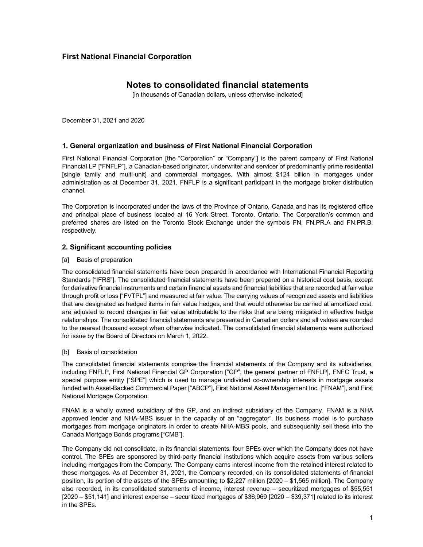## **Notes to consolidated financial statements**

[in thousands of Canadian dollars, unless otherwise indicated]

December 31, 2021 and 2020

### **1. General organization and business of First National Financial Corporation**

First National Financial Corporation [the "Corporation" or "Company"] is the parent company of First National Financial LP ["FNFLP"], a Canadian-based originator, underwriter and servicer of predominantly prime residential [single family and multi-unit] and commercial mortgages. With almost \$124 billion in mortgages under administration as at December 31, 2021, FNFLP is a significant participant in the mortgage broker distribution channel.

The Corporation is incorporated under the laws of the Province of Ontario, Canada and has its registered office and principal place of business located at 16 York Street, Toronto, Ontario. The Corporation's common and preferred shares are listed on the Toronto Stock Exchange under the symbols FN, FN.PR.A and FN.PR.B, respectively.

### **2. Significant accounting policies**

[a] Basis of preparation

The consolidated financial statements have been prepared in accordance with International Financial Reporting Standards ["IFRS"]. The consolidated financial statements have been prepared on a historical cost basis, except for derivative financial instruments and certain financial assets and financial liabilities that are recorded at fair value through profit or loss ["FVTPL"] and measured at fair value. The carrying values of recognized assets and liabilities that are designated as hedged items in fair value hedges, and that would otherwise be carried at amortized cost, are adjusted to record changes in fair value attributable to the risks that are being mitigated in effective hedge relationships. The consolidated financial statements are presented in Canadian dollars and all values are rounded to the nearest thousand except when otherwise indicated. The consolidated financial statements were authorized for issue by the Board of Directors on March 1, 2022.

[b] Basis of consolidation

The consolidated financial statements comprise the financial statements of the Company and its subsidiaries, including FNFLP, First National Financial GP Corporation ["GP", the general partner of FNFLP], FNFC Trust, a special purpose entity ["SPE"] which is used to manage undivided co-ownership interests in mortgage assets funded with Asset-Backed Commercial Paper ["ABCP"], First National Asset Management Inc. ["FNAM"], and First National Mortgage Corporation.

FNAM is a wholly owned subsidiary of the GP, and an indirect subsidiary of the Company. FNAM is a NHA approved lender and NHA-MBS issuer in the capacity of an "aggregator". Its business model is to purchase mortgages from mortgage originators in order to create NHA-MBS pools, and subsequently sell these into the Canada Mortgage Bonds programs ["CMB"].

The Company did not consolidate, in its financial statements, four SPEs over which the Company does not have control. The SPEs are sponsored by third-party financial institutions which acquire assets from various sellers including mortgages from the Company. The Company earns interest income from the retained interest related to these mortgages. As at December 31, 2021, the Company recorded, on its consolidated statements of financial position, its portion of the assets of the SPEs amounting to \$2,227 million [2020 – \$1,565 million]. The Company also recorded, in its consolidated statements of income, interest revenue – securitized mortgages of \$55,551 [2020 – \$51,141] and interest expense – securitized mortgages of \$36,969 [2020 – \$39,371] related to its interest in the SPEs.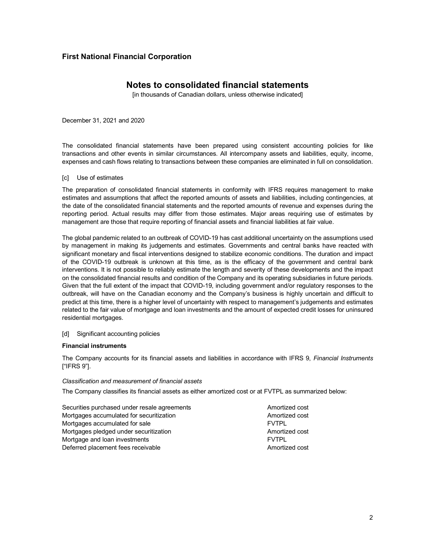## **Notes to consolidated financial statements**

[in thousands of Canadian dollars, unless otherwise indicated]

December 31, 2021 and 2020

The consolidated financial statements have been prepared using consistent accounting policies for like transactions and other events in similar circumstances. All intercompany assets and liabilities, equity, income, expenses and cash flows relating to transactions between these companies are eliminated in full on consolidation.

[c] Use of estimates

The preparation of consolidated financial statements in conformity with IFRS requires management to make estimates and assumptions that affect the reported amounts of assets and liabilities, including contingencies, at the date of the consolidated financial statements and the reported amounts of revenue and expenses during the reporting period. Actual results may differ from those estimates. Major areas requiring use of estimates by management are those that require reporting of financial assets and financial liabilities at fair value.

The global pandemic related to an outbreak of COVID-19 has cast additional uncertainty on the assumptions used by management in making its judgements and estimates. Governments and central banks have reacted with significant monetary and fiscal interventions designed to stabilize economic conditions. The duration and impact of the COVID-19 outbreak is unknown at this time, as is the efficacy of the government and central bank interventions. It is not possible to reliably estimate the length and severity of these developments and the impact on the consolidated financial results and condition of the Company and its operating subsidiaries in future periods. Given that the full extent of the impact that COVID-19, including government and/or regulatory responses to the outbreak, will have on the Canadian economy and the Company's business is highly uncertain and difficult to predict at this time, there is a higher level of uncertainty with respect to management's judgements and estimates related to the fair value of mortgage and loan investments and the amount of expected credit losses for uninsured residential mortgages.

### [d] Significant accounting policies

#### **Financial instruments**

The Company accounts for its financial assets and liabilities in accordance with IFRS 9, *Financial Instruments*  ["IFRS 9"].

#### *Classification and measurement of financial assets*

The Company classifies its financial assets as either amortized cost or at FVTPL as summarized below:

Securities purchased under resale agreements Amortized cost Mortgages accumulated for securitization Amortized cost Mortgages accumulated for sale FUTPL FOR THE FUTPL Mortgages pledged under securitization Amortized cost Mortgage and loan investments **FITPL FITPL** Deferred placement fees receivable Amortized cost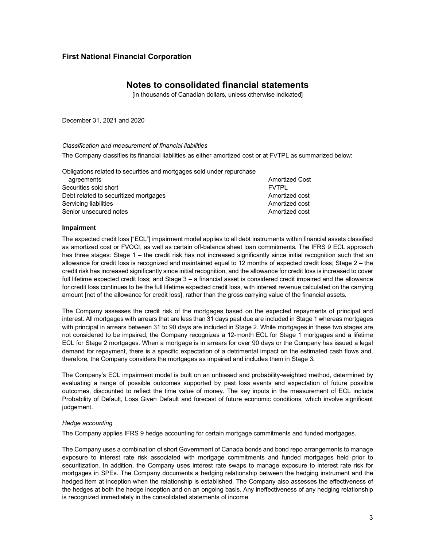## **Notes to consolidated financial statements**

[in thousands of Canadian dollars, unless otherwise indicated]

December 31, 2021 and 2020

#### *Classification and measurement of financial liabilities*

The Company classifies its financial liabilities as either amortized cost or at FVTPL as summarized below:

| Obligations related to securities and mortgages sold under repurchase |                       |
|-----------------------------------------------------------------------|-----------------------|
| agreements                                                            | <b>Amortized Cost</b> |
| Securities sold short                                                 | <b>FVTPI</b>          |
| Debt related to securitized mortgages                                 | Amortized cost        |
| Servicing liabilities                                                 | Amortized cost        |
| Senior unsecured notes                                                | Amortized cost        |

#### **Impairment**

The expected credit loss ["ECL"] impairment model applies to all debt instruments within financial assets classified as amortized cost or FVOCI, as well as certain off-balance sheet loan commitments. The IFRS 9 ECL approach has three stages: Stage 1 – the credit risk has not increased significantly since initial recognition such that an allowance for credit loss is recognized and maintained equal to 12 months of expected credit loss; Stage 2 – the credit risk has increased significantly since initial recognition, and the allowance for credit loss is increased to cover full lifetime expected credit loss; and Stage 3 – a financial asset is considered credit impaired and the allowance for credit loss continues to be the full lifetime expected credit loss, with interest revenue calculated on the carrying amount [net of the allowance for credit loss], rather than the gross carrying value of the financial assets.

The Company assesses the credit risk of the mortgages based on the expected repayments of principal and interest. All mortgages with arrears that are less than 31 days past due are included in Stage 1 whereas mortgages with principal in arrears between 31 to 90 days are included in Stage 2. While mortgages in these two stages are not considered to be impaired, the Company recognizes a 12-month ECL for Stage 1 mortgages and a lifetime ECL for Stage 2 mortgages. When a mortgage is in arrears for over 90 days or the Company has issued a legal demand for repayment, there is a specific expectation of a detrimental impact on the estimated cash flows and, therefore, the Company considers the mortgages as impaired and includes them in Stage 3.

The Company's ECL impairment model is built on an unbiased and probability-weighted method, determined by evaluating a range of possible outcomes supported by past loss events and expectation of future possible outcomes, discounted to reflect the time value of money. The key inputs in the measurement of ECL include Probability of Default, Loss Given Default and forecast of future economic conditions, which involve significant judgement.

### *Hedge accounting*

The Company applies IFRS 9 hedge accounting for certain mortgage commitments and funded mortgages.

The Company uses a combination of short Government of Canada bonds and bond repo arrangements to manage exposure to interest rate risk associated with mortgage commitments and funded mortgages held prior to securitization. In addition, the Company uses interest rate swaps to manage exposure to interest rate risk for mortgages in SPEs. The Company documents a hedging relationship between the hedging instrument and the hedged item at inception when the relationship is established. The Company also assesses the effectiveness of the hedges at both the hedge inception and on an ongoing basis. Any ineffectiveness of any hedging relationship is recognized immediately in the consolidated statements of income.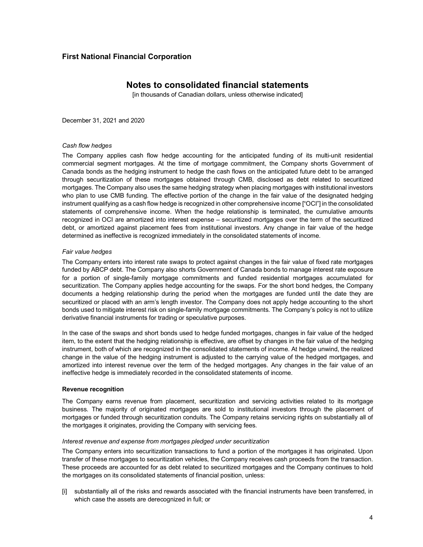## **Notes to consolidated financial statements**

[in thousands of Canadian dollars, unless otherwise indicated]

December 31, 2021 and 2020

#### *Cash flow hedges*

The Company applies cash flow hedge accounting for the anticipated funding of its multi-unit residential commercial segment mortgages. At the time of mortgage commitment, the Company shorts Government of Canada bonds as the hedging instrument to hedge the cash flows on the anticipated future debt to be arranged through securitization of these mortgages obtained through CMB, disclosed as debt related to securitized mortgages. The Company also uses the same hedging strategy when placing mortgages with institutional investors who plan to use CMB funding. The effective portion of the change in the fair value of the designated hedging instrument qualifying as a cash flow hedge is recognized in other comprehensive income ["OCI"] in the consolidated statements of comprehensive income. When the hedge relationship is terminated, the cumulative amounts recognized in OCI are amortized into interest expense – securitized mortgages over the term of the securitized debt, or amortized against placement fees from institutional investors. Any change in fair value of the hedge determined as ineffective is recognized immediately in the consolidated statements of income.

#### *Fair value hedges*

The Company enters into interest rate swaps to protect against changes in the fair value of fixed rate mortgages funded by ABCP debt. The Company also shorts Government of Canada bonds to manage interest rate exposure for a portion of single-family mortgage commitments and funded residential mortgages accumulated for securitization. The Company applies hedge accounting for the swaps. For the short bond hedges, the Company documents a hedging relationship during the period when the mortgages are funded until the date they are securitized or placed with an arm's length investor. The Company does not apply hedge accounting to the short bonds used to mitigate interest risk on single-family mortgage commitments. The Company's policy is not to utilize derivative financial instruments for trading or speculative purposes.

In the case of the swaps and short bonds used to hedge funded mortgages, changes in fair value of the hedged item, to the extent that the hedging relationship is effective, are offset by changes in the fair value of the hedging instrument, both of which are recognized in the consolidated statements of income. At hedge unwind, the realized change in the value of the hedging instrument is adjusted to the carrying value of the hedged mortgages, and amortized into interest revenue over the term of the hedged mortgages. Any changes in the fair value of an ineffective hedge is immediately recorded in the consolidated statements of income.

#### **Revenue recognition**

The Company earns revenue from placement, securitization and servicing activities related to its mortgage business. The majority of originated mortgages are sold to institutional investors through the placement of mortgages or funded through securitization conduits. The Company retains servicing rights on substantially all of the mortgages it originates, providing the Company with servicing fees.

### *Interest revenue and expense from mortgages pledged under securitization*

The Company enters into securitization transactions to fund a portion of the mortgages it has originated. Upon transfer of these mortgages to securitization vehicles, the Company receives cash proceeds from the transaction. These proceeds are accounted for as debt related to securitized mortgages and the Company continues to hold the mortgages on its consolidated statements of financial position, unless:

[i] substantially all of the risks and rewards associated with the financial instruments have been transferred, in which case the assets are derecognized in full; or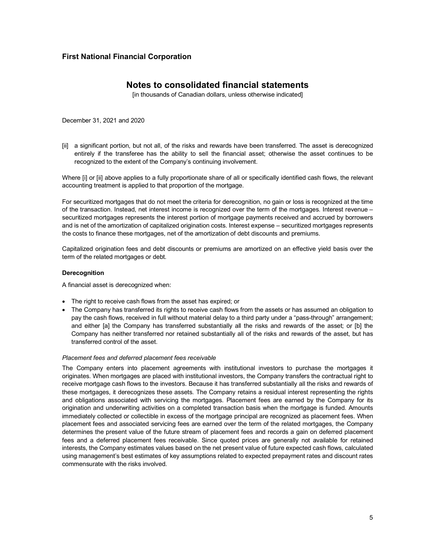## **Notes to consolidated financial statements**

[in thousands of Canadian dollars, unless otherwise indicated]

December 31, 2021 and 2020

[ii] a significant portion, but not all, of the risks and rewards have been transferred. The asset is derecognized entirely if the transferee has the ability to sell the financial asset; otherwise the asset continues to be recognized to the extent of the Company's continuing involvement.

Where [i] or [ii] above applies to a fully proportionate share of all or specifically identified cash flows, the relevant accounting treatment is applied to that proportion of the mortgage.

For securitized mortgages that do not meet the criteria for derecognition, no gain or loss is recognized at the time of the transaction. Instead, net interest income is recognized over the term of the mortgages. Interest revenue – securitized mortgages represents the interest portion of mortgage payments received and accrued by borrowers and is net of the amortization of capitalized origination costs. Interest expense – securitized mortgages represents the costs to finance these mortgages, net of the amortization of debt discounts and premiums.

Capitalized origination fees and debt discounts or premiums are amortized on an effective yield basis over the term of the related mortgages or debt.

#### **Derecognition**

A financial asset is derecognized when:

- The right to receive cash flows from the asset has expired; or
- The Company has transferred its rights to receive cash flows from the assets or has assumed an obligation to pay the cash flows, received in full without material delay to a third party under a "pass-through" arrangement; and either [a] the Company has transferred substantially all the risks and rewards of the asset; or [b] the Company has neither transferred nor retained substantially all of the risks and rewards of the asset, but has transferred control of the asset.

### *Placement fees and deferred placement fees receivable*

The Company enters into placement agreements with institutional investors to purchase the mortgages it originates. When mortgages are placed with institutional investors, the Company transfers the contractual right to receive mortgage cash flows to the investors. Because it has transferred substantially all the risks and rewards of these mortgages, it derecognizes these assets. The Company retains a residual interest representing the rights and obligations associated with servicing the mortgages. Placement fees are earned by the Company for its origination and underwriting activities on a completed transaction basis when the mortgage is funded. Amounts immediately collected or collectible in excess of the mortgage principal are recognized as placement fees. When placement fees and associated servicing fees are earned over the term of the related mortgages, the Company determines the present value of the future stream of placement fees and records a gain on deferred placement fees and a deferred placement fees receivable. Since quoted prices are generally not available for retained interests, the Company estimates values based on the net present value of future expected cash flows, calculated using management's best estimates of key assumptions related to expected prepayment rates and discount rates commensurate with the risks involved.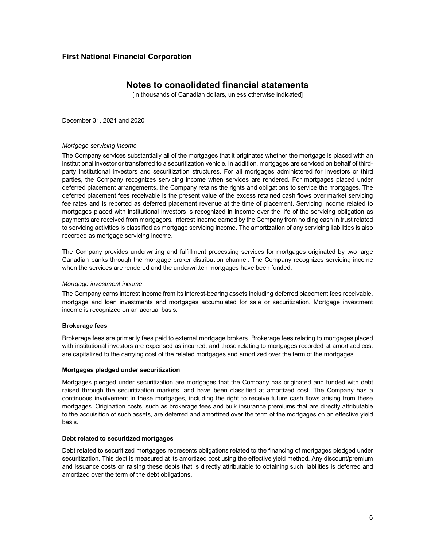## **Notes to consolidated financial statements**

[in thousands of Canadian dollars, unless otherwise indicated]

December 31, 2021 and 2020

### *Mortgage servicing income*

The Company services substantially all of the mortgages that it originates whether the mortgage is placed with an institutional investor or transferred to a securitization vehicle. In addition, mortgages are serviced on behalf of thirdparty institutional investors and securitization structures. For all mortgages administered for investors or third parties, the Company recognizes servicing income when services are rendered. For mortgages placed under deferred placement arrangements, the Company retains the rights and obligations to service the mortgages. The deferred placement fees receivable is the present value of the excess retained cash flows over market servicing fee rates and is reported as deferred placement revenue at the time of placement. Servicing income related to mortgages placed with institutional investors is recognized in income over the life of the servicing obligation as payments are received from mortgagors. Interest income earned by the Company from holding cash in trust related to servicing activities is classified as mortgage servicing income. The amortization of any servicing liabilities is also recorded as mortgage servicing income.

The Company provides underwriting and fulfillment processing services for mortgages originated by two large Canadian banks through the mortgage broker distribution channel. The Company recognizes servicing income when the services are rendered and the underwritten mortgages have been funded.

### *Mortgage investment income*

The Company earns interest income from its interest-bearing assets including deferred placement fees receivable, mortgage and loan investments and mortgages accumulated for sale or securitization. Mortgage investment income is recognized on an accrual basis.

### **Brokerage fees**

Brokerage fees are primarily fees paid to external mortgage brokers. Brokerage fees relating to mortgages placed with institutional investors are expensed as incurred, and those relating to mortgages recorded at amortized cost are capitalized to the carrying cost of the related mortgages and amortized over the term of the mortgages.

#### **Mortgages pledged under securitization**

Mortgages pledged under securitization are mortgages that the Company has originated and funded with debt raised through the securitization markets, and have been classified at amortized cost. The Company has a continuous involvement in these mortgages, including the right to receive future cash flows arising from these mortgages. Origination costs, such as brokerage fees and bulk insurance premiums that are directly attributable to the acquisition of such assets, are deferred and amortized over the term of the mortgages on an effective yield basis.

#### **Debt related to securitized mortgages**

Debt related to securitized mortgages represents obligations related to the financing of mortgages pledged under securitization. This debt is measured at its amortized cost using the effective yield method. Any discount/premium and issuance costs on raising these debts that is directly attributable to obtaining such liabilities is deferred and amortized over the term of the debt obligations.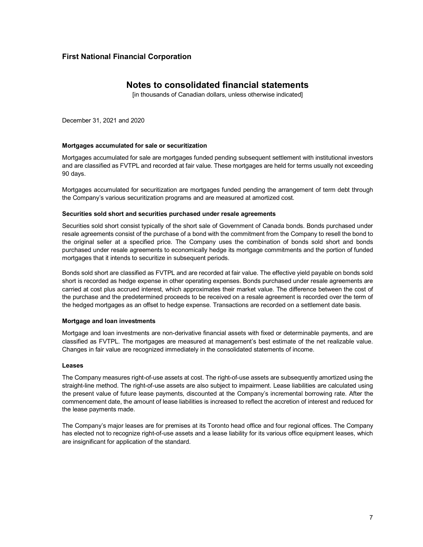## **Notes to consolidated financial statements**

[in thousands of Canadian dollars, unless otherwise indicated]

December 31, 2021 and 2020

### **Mortgages accumulated for sale or securitization**

Mortgages accumulated for sale are mortgages funded pending subsequent settlement with institutional investors and are classified as FVTPL and recorded at fair value. These mortgages are held for terms usually not exceeding 90 days.

Mortgages accumulated for securitization are mortgages funded pending the arrangement of term debt through the Company's various securitization programs and are measured at amortized cost.

#### **Securities sold short and securities purchased under resale agreements**

Securities sold short consist typically of the short sale of Government of Canada bonds. Bonds purchased under resale agreements consist of the purchase of a bond with the commitment from the Company to resell the bond to the original seller at a specified price. The Company uses the combination of bonds sold short and bonds purchased under resale agreements to economically hedge its mortgage commitments and the portion of funded mortgages that it intends to securitize in subsequent periods.

Bonds sold short are classified as FVTPL and are recorded at fair value. The effective yield payable on bonds sold short is recorded as hedge expense in other operating expenses. Bonds purchased under resale agreements are carried at cost plus accrued interest, which approximates their market value. The difference between the cost of the purchase and the predetermined proceeds to be received on a resale agreement is recorded over the term of the hedged mortgages as an offset to hedge expense. Transactions are recorded on a settlement date basis.

### **Mortgage and loan investments**

Mortgage and loan investments are non-derivative financial assets with fixed or determinable payments, and are classified as FVTPL. The mortgages are measured at management's best estimate of the net realizable value. Changes in fair value are recognized immediately in the consolidated statements of income.

#### **Leases**

The Company measures right-of-use assets at cost. The right-of-use assets are subsequently amortized using the straight-line method. The right-of-use assets are also subject to impairment. Lease liabilities are calculated using the present value of future lease payments, discounted at the Company's incremental borrowing rate. After the commencement date, the amount of lease liabilities is increased to reflect the accretion of interest and reduced for the lease payments made.

The Company's major leases are for premises at its Toronto head office and four regional offices. The Company has elected not to recognize right-of-use assets and a lease liability for its various office equipment leases, which are insignificant for application of the standard.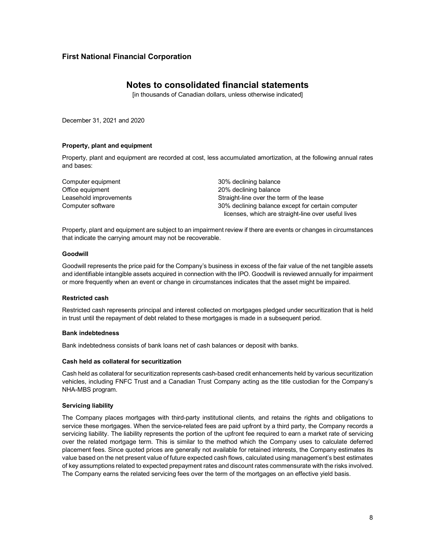## **Notes to consolidated financial statements**

[in thousands of Canadian dollars, unless otherwise indicated]

December 31, 2021 and 2020

#### **Property, plant and equipment**

Property, plant and equipment are recorded at cost, less accumulated amortization, at the following annual rates and bases:

Computer equipment **30%** declining balance Office equipment 20% declining balance Leasehold improvements **Straight-line over the term of the lease** Computer software 30% declining balance except for certain computer licenses, which are straight-line over useful lives

Property, plant and equipment are subject to an impairment review if there are events or changes in circumstances that indicate the carrying amount may not be recoverable.

#### **Goodwill**

Goodwill represents the price paid for the Company's business in excess of the fair value of the net tangible assets and identifiable intangible assets acquired in connection with the IPO. Goodwill is reviewed annually for impairment or more frequently when an event or change in circumstances indicates that the asset might be impaired.

#### **Restricted cash**

Restricted cash represents principal and interest collected on mortgages pledged under securitization that is held in trust until the repayment of debt related to these mortgages is made in a subsequent period.

#### **Bank indebtedness**

Bank indebtedness consists of bank loans net of cash balances or deposit with banks.

#### **Cash held as collateral for securitization**

Cash held as collateral for securitization represents cash-based credit enhancements held by various securitization vehicles, including FNFC Trust and a Canadian Trust Company acting as the title custodian for the Company's NHA-MBS program.

#### **Servicing liability**

The Company places mortgages with third-party institutional clients, and retains the rights and obligations to service these mortgages. When the service-related fees are paid upfront by a third party, the Company records a servicing liability. The liability represents the portion of the upfront fee required to earn a market rate of servicing over the related mortgage term. This is similar to the method which the Company uses to calculate deferred placement fees. Since quoted prices are generally not available for retained interests, the Company estimates its value based on the net present value of future expected cash flows, calculated using management's best estimates of key assumptions related to expected prepayment rates and discount rates commensurate with the risks involved. The Company earns the related servicing fees over the term of the mortgages on an effective yield basis.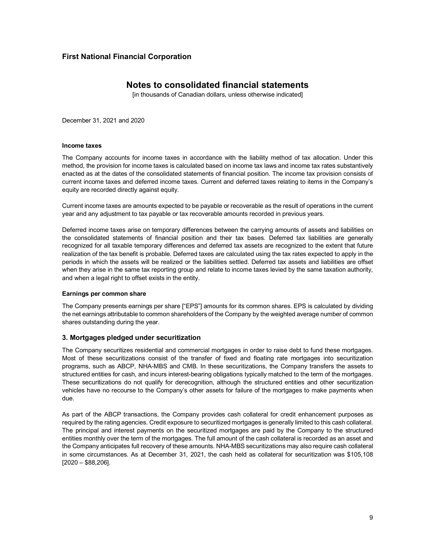## **Notes to consolidated financial statements**

[in thousands of Canadian dollars, unless otherwise indicated]

December 31, 2021 and 2020

#### **Income taxes**

The Company accounts for income taxes in accordance with the liability method of tax allocation. Under this method, the provision for income taxes is calculated based on income tax laws and income tax rates substantively enacted as at the dates of the consolidated statements of financial position. The income tax provision consists of current income taxes and deferred income taxes. Current and deferred taxes relating to items in the Company's equity are recorded directly against equity.

Current income taxes are amounts expected to be payable or recoverable as the result of operations in the current year and any adjustment to tax payable or tax recoverable amounts recorded in previous years.

Deferred income taxes arise on temporary differences between the carrying amounts of assets and liabilities on the consolidated statements of financial position and their tax bases. Deferred tax liabilities are generally recognized for all taxable temporary differences and deferred tax assets are recognized to the extent that future realization of the tax benefit is probable. Deferred taxes are calculated using the tax rates expected to apply in the periods in which the assets will be realized or the liabilities settled. Deferred tax assets and liabilities are offset when they arise in the same tax reporting group and relate to income taxes levied by the same taxation authority, and when a legal right to offset exists in the entity.

### **Earnings per common share**

The Company presents earnings per share ["EPS"] amounts for its common shares. EPS is calculated by dividing the net earnings attributable to common shareholders of the Company by the weighted average number of common shares outstanding during the year.

### **3. Mortgages pledged under securitization**

The Company securitizes residential and commercial mortgages in order to raise debt to fund these mortgages. Most of these securitizations consist of the transfer of fixed and floating rate mortgages into securitization programs, such as ABCP, NHA-MBS and CMB. In these securitizations, the Company transfers the assets to structured entities for cash, and incurs interest-bearing obligations typically matched to the term of the mortgages. These securitizations do not qualify for derecognition, although the structured entities and other securitization vehicles have no recourse to the Company's other assets for failure of the mortgages to make payments when due.

As part of the ABCP transactions, the Company provides cash collateral for credit enhancement purposes as required by the rating agencies. Credit exposure to securitized mortgages is generally limited to this cash collateral. The principal and interest payments on the securitized mortgages are paid by the Company to the structured entities monthly over the term of the mortgages. The full amount of the cash collateral is recorded as an asset and the Company anticipates full recovery of these amounts. NHA-MBS securitizations may also require cash collateral in some circumstances. As at December 31, 2021, the cash held as collateral for securitization was \$105,108 [2020 – \$88,206].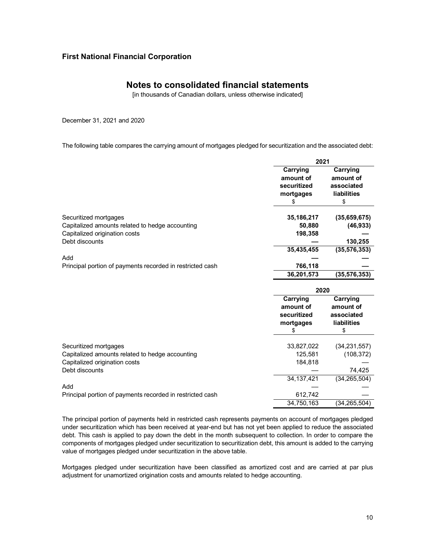## **Notes to consolidated financial statements**

[in thousands of Canadian dollars, unless otherwise indicated]

December 31, 2021 and 2020

The following table compares the carrying amount of mortgages pledged for securitization and the associated debt:

|                                                           | 2021         |                    |  |
|-----------------------------------------------------------|--------------|--------------------|--|
|                                                           | Carrying     | Carrying           |  |
|                                                           | amount of    | amount of          |  |
|                                                           | securitized  | associated         |  |
|                                                           | mortgages    | <b>liabilities</b> |  |
|                                                           | \$           | \$                 |  |
| Securitized mortgages                                     | 35, 186, 217 | (35,659,675)       |  |
| Capitalized amounts related to hedge accounting           | 50,880       | (46, 933)          |  |
| Capitalized origination costs                             | 198,358      |                    |  |
| Debt discounts                                            |              | 130,255            |  |
|                                                           | 35,435,455   | (35, 576, 353)     |  |
| Add                                                       |              |                    |  |
| Principal portion of payments recorded in restricted cash | 766,118      |                    |  |
|                                                           | 36,201,573   | (35, 576, 353)     |  |
|                                                           | 2020         |                    |  |
|                                                           | Carrying     | Carrying           |  |
|                                                           | amount of    | amount of          |  |
|                                                           | securitized  | associated         |  |
|                                                           | mortgages    | liabilities        |  |
|                                                           | \$           | \$                 |  |
| Securitized mortgages                                     | 33,827,022   | (34, 231, 557)     |  |
| Capitalized amounts related to hedge accounting           | 125,581      | (108, 372)         |  |
| Capitalized origination costs                             | 184,818      |                    |  |
| Debt discounts                                            |              | 74,425             |  |
|                                                           |              |                    |  |
|                                                           | 34, 137, 421 | (34, 265, 504)     |  |
| Add                                                       |              |                    |  |
| Principal portion of payments recorded in restricted cash | 612,742      |                    |  |

The principal portion of payments held in restricted cash represents payments on account of mortgages pledged under securitization which has been received at year-end but has not yet been applied to reduce the associated debt. This cash is applied to pay down the debt in the month subsequent to collection. In order to compare the components of mortgages pledged under securitization to securitization debt, this amount is added to the carrying value of mortgages pledged under securitization in the above table.

Mortgages pledged under securitization have been classified as amortized cost and are carried at par plus adjustment for unamortized origination costs and amounts related to hedge accounting.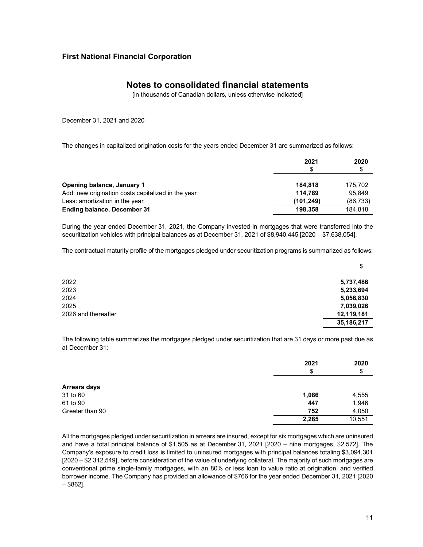## **Notes to consolidated financial statements**

[in thousands of Canadian dollars, unless otherwise indicated]

December 31, 2021 and 2020

The changes in capitalized origination costs for the years ended December 31 are summarized as follows:

|                                                    | 2021<br>S  | 2020<br>\$ |
|----------------------------------------------------|------------|------------|
| Opening balance, January 1                         | 184.818    | 175.702    |
| Add: new origination costs capitalized in the year | 114.789    | 95.849     |
| Less: amortization in the year                     | (101, 249) | (86, 733)  |
| <b>Ending balance, December 31</b>                 | 198.358    | 184.818    |

During the year ended December 31, 2021, the Company invested in mortgages that were transferred into the securitization vehicles with principal balances as at December 31, 2021 of \$8,940,445 [2020 – \$7,638,054].

The contractual maturity profile of the mortgages pledged under securitization programs is summarized as follows:

|                     | \$           |
|---------------------|--------------|
| 2022                | 5,737,486    |
| 2023                | 5,233,694    |
| 2024                | 5,056,830    |
| 2025                | 7,039,026    |
| 2026 and thereafter | 12,119,181   |
|                     | 35, 186, 217 |

The following table summarizes the mortgages pledged under securitization that are 31 days or more past due as at December 31:

|                     | 2021<br>\$ | 2020<br>\$ |
|---------------------|------------|------------|
|                     |            |            |
| <b>Arrears days</b> |            |            |
| 31 to 60            | 1,086      | 4,555      |
| 61 to 90            | 447        | 1,946      |
| Greater than 90     | 752        | 4,050      |
|                     | 2,285      | 10,551     |

All the mortgages pledged under securitization in arrears are insured, except for six mortgages which are uninsured and have a total principal balance of \$1,505 as at December 31, 2021 [2020 – nine mortgages, \$2,572]. The Company's exposure to credit loss is limited to uninsured mortgages with principal balances totaling \$3,094,301 [2020 – \$2,312,549], before consideration of the value of underlying collateral. The majority of such mortgages are conventional prime single-family mortgages, with an 80% or less loan to value ratio at origination, and verified borrower income. The Company has provided an allowance of \$766 for the year ended December 31, 2021 [2020 – \$862].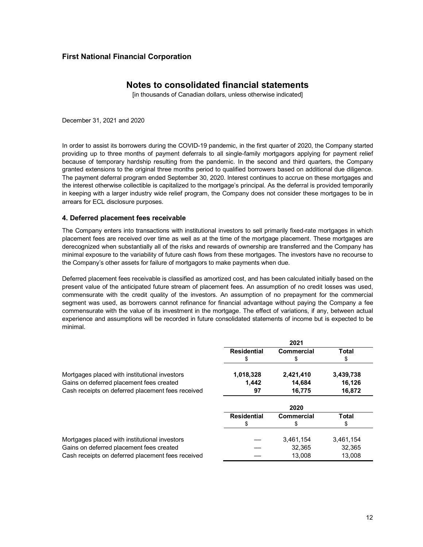## **Notes to consolidated financial statements**

[in thousands of Canadian dollars, unless otherwise indicated]

December 31, 2021 and 2020

In order to assist its borrowers during the COVID-19 pandemic, in the first quarter of 2020, the Company started providing up to three months of payment deferrals to all single-family mortgagors applying for payment relief because of temporary hardship resulting from the pandemic. In the second and third quarters, the Company granted extensions to the original three months period to qualified borrowers based on additional due diligence. The payment deferral program ended September 30, 2020. Interest continues to accrue on these mortgages and the interest otherwise collectible is capitalized to the mortgage's principal. As the deferral is provided temporarily in keeping with a larger industry wide relief program, the Company does not consider these mortgages to be in arrears for ECL disclosure purposes.

### **4. Deferred placement fees receivable**

The Company enters into transactions with institutional investors to sell primarily fixed-rate mortgages in which placement fees are received over time as well as at the time of the mortgage placement. These mortgages are derecognized when substantially all of the risks and rewards of ownership are transferred and the Company has minimal exposure to the variability of future cash flows from these mortgages. The investors have no recourse to the Company's other assets for failure of mortgagors to make payments when due.

Deferred placement fees receivable is classified as amortized cost, and has been calculated initially based on the present value of the anticipated future stream of placement fees. An assumption of no credit losses was used, commensurate with the credit quality of the investors. An assumption of no prepayment for the commercial segment was used, as borrowers cannot refinance for financial advantage without paying the Company a fee commensurate with the value of its investment in the mortgage. The effect of variations, if any, between actual experience and assumptions will be recorded in future consolidated statements of income but is expected to be minimal.

|                                                   |                    | 2021       |              |
|---------------------------------------------------|--------------------|------------|--------------|
|                                                   | <b>Residential</b> | Commercial | <b>Total</b> |
|                                                   | \$                 | S          | \$           |
| Mortgages placed with institutional investors     | 1,018,328          | 2,421,410  | 3,439,738    |
| Gains on deferred placement fees created          | 1,442              | 14,684     | 16,126       |
| Cash receipts on deferred placement fees received | 97                 | 16,775     | 16,872       |
|                                                   |                    | 2020       |              |
|                                                   | <b>Residential</b> | Commercial | Total        |
|                                                   | \$                 | \$         | \$           |
| Mortgages placed with institutional investors     |                    | 3,461,154  | 3,461,154    |
| Gains on deferred placement fees created          |                    | 32,365     | 32,365       |
| Cash receipts on deferred placement fees received |                    | 13.008     | 13.008       |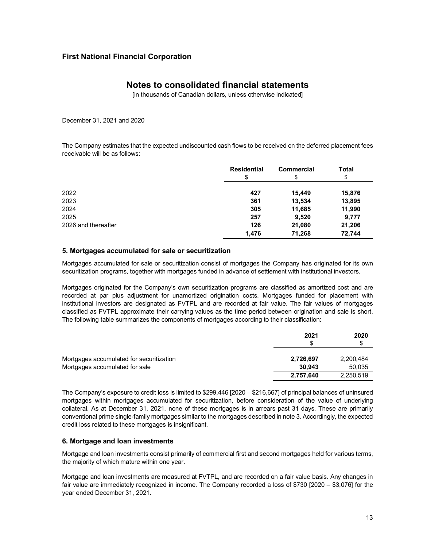## **Notes to consolidated financial statements**

[in thousands of Canadian dollars, unless otherwise indicated]

December 31, 2021 and 2020

The Company estimates that the expected undiscounted cash flows to be received on the deferred placement fees receivable will be as follows:

|                     | <b>Residential</b> | <b>Commercial</b> | <b>Total</b> |
|---------------------|--------------------|-------------------|--------------|
|                     | \$                 | \$                | Φ            |
| 2022                | 427                | 15,449            | 15,876       |
| 2023                | 361                | 13,534            | 13,895       |
| 2024                | 305                | 11,685            | 11,990       |
| 2025                | 257                | 9,520             | 9,777        |
| 2026 and thereafter | 126                | 21,080            | 21,206       |
|                     | 1.476              | 71.268            | 72.744       |

### **5. Mortgages accumulated for sale or securitization**

Mortgages accumulated for sale or securitization consist of mortgages the Company has originated for its own securitization programs, together with mortgages funded in advance of settlement with institutional investors.

Mortgages originated for the Company's own securitization programs are classified as amortized cost and are recorded at par plus adjustment for unamortized origination costs. Mortgages funded for placement with institutional investors are designated as FVTPL and are recorded at fair value. The fair values of mortgages classified as FVTPL approximate their carrying values as the time period between origination and sale is short. The following table summarizes the components of mortgages according to their classification:

|                                          | 2021<br>S | 2020<br>\$ |
|------------------------------------------|-----------|------------|
| Mortgages accumulated for securitization | 2,726,697 | 2,200,484  |
| Mortgages accumulated for sale           | 30.943    | 50,035     |
|                                          | 2,757,640 | 2,250,519  |

The Company's exposure to credit loss is limited to \$299,446 [2020 – \$216,667] of principal balances of uninsured mortgages within mortgages accumulated for securitization, before consideration of the value of underlying collateral. As at December 31, 2021, none of these mortgages is in arrears past 31 days. These are primarily conventional prime single-family mortgages similar to the mortgages described in note 3. Accordingly, the expected credit loss related to these mortgages is insignificant.

### **6. Mortgage and loan investments**

Mortgage and loan investments consist primarily of commercial first and second mortgages held for various terms, the majority of which mature within one year.

Mortgage and loan investments are measured at FVTPL, and are recorded on a fair value basis. Any changes in fair value are immediately recognized in income. The Company recorded a loss of \$730 [2020 – \$3,076] for the year ended December 31, 2021.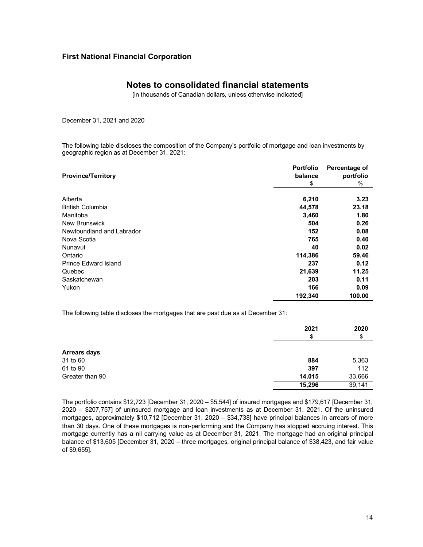## **Notes to consolidated financial statements**

[in thousands of Canadian dollars, unless otherwise indicated]

December 31, 2021 and 2020

The following table discloses the composition of the Company's portfolio of mortgage and loan investments by geographic region as at December 31, 2021:

| <b>Province/Territory</b>   | <b>Portfolio</b><br>balance | Percentage of<br>portfolio |
|-----------------------------|-----------------------------|----------------------------|
|                             | \$                          | $\%$                       |
| Alberta                     | 6,210                       | 3.23                       |
| <b>British Columbia</b>     | 44,578                      | 23.18                      |
| Manitoba                    | 3,460                       | 1.80                       |
| <b>New Brunswick</b>        | 504                         | 0.26                       |
| Newfoundland and Labrador   | 152                         | 0.08                       |
| Nova Scotia                 | 765                         | 0.40                       |
| Nunavut                     | 40                          | 0.02                       |
| Ontario                     | 114,386                     | 59.46                      |
| <b>Prince Edward Island</b> | 237                         | 0.12                       |
| Quebec                      | 21,639                      | 11.25                      |
| Saskatchewan                | 203                         | 0.11                       |
| Yukon                       | 166                         | 0.09                       |
|                             | 192,340                     | 100.00                     |

The following table discloses the mortgages that are past due as at December 31:

|                     | 2021<br>\$ | 2020<br>\$ |
|---------------------|------------|------------|
| <b>Arrears days</b> |            |            |
| 31 to 60            | 884        | 5,363      |
| 61 to 90            | 397        | 112        |
| Greater than 90     | 14,015     | 33,666     |
|                     | 15,296     | 39,141     |

The portfolio contains \$12,723 [December 31, 2020 ‒ \$5,544] of insured mortgages and \$179,617 [December 31, 2020 ‒ \$207,757] of uninsured mortgage and loan investments as at December 31, 2021. Of the uninsured mortgages, approximately \$10,712 [December 31, 2020 - \$34,738] have principal balances in arrears of more than 30 days. One of these mortgages is non-performing and the Company has stopped accruing interest. This mortgage currently has a nil carrying value as at December 31, 2021. The mortgage had an original principal balance of \$13,605 [December 31, 2020 – three mortgages, original principal balance of \$38,423, and fair value of \$9,655].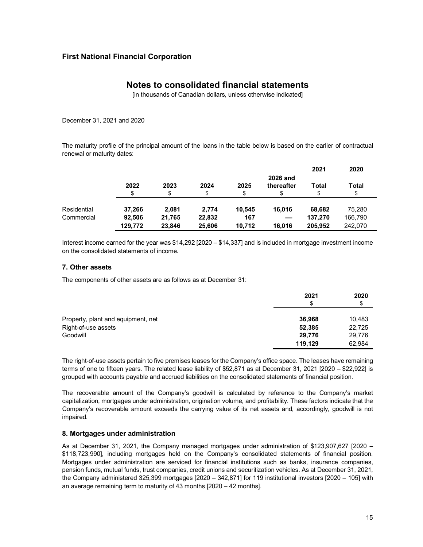## **Notes to consolidated financial statements**

[in thousands of Canadian dollars, unless otherwise indicated]

December 31, 2021 and 2020

The maturity profile of the principal amount of the loans in the table below is based on the earlier of contractual renewal or maturity dates:

|             |         |        |        |        |                 | 2021    | 2020    |
|-------------|---------|--------|--------|--------|-----------------|---------|---------|
|             |         |        |        |        | <b>2026 and</b> |         |         |
|             | 2022    | 2023   | 2024   | 2025   | thereafter      | Total   | Total   |
|             | \$      | \$     | \$     |        |                 |         | \$      |
| Residential | 37,266  | 2.081  | 2.774  | 10.545 | 16.016          | 68.682  | 75.280  |
| Commercial  | 92.506  | 21.765 | 22,832 | 167    |                 | 137.270 | 166,790 |
|             | 129.772 | 23.846 | 25,606 | 10.712 | 16.016          | 205.952 | 242,070 |

Interest income earned for the year was \$14,292 [2020 – \$14,337] and is included in mortgage investment income on the consolidated statements of income.

### **7. Other assets**

The components of other assets are as follows as at December 31:

|                                    | 2021    | 2020   |
|------------------------------------|---------|--------|
|                                    | \$      | \$     |
| Property, plant and equipment, net | 36,968  | 10,483 |
| Right-of-use assets                | 52,385  | 22,725 |
| Goodwill                           | 29.776  | 29,776 |
|                                    | 119,129 | 62,984 |

The right-of-use assets pertain to five premises leases for the Company's office space. The leases have remaining terms of one to fifteen years. The related lease liability of \$52,871 as at December 31, 2021 [2020 – \$22,922] is grouped with accounts payable and accrued liabilities on the consolidated statements of financial position.

The recoverable amount of the Company's goodwill is calculated by reference to the Company's market capitalization, mortgages under administration, origination volume, and profitability. These factors indicate that the Company's recoverable amount exceeds the carrying value of its net assets and, accordingly, goodwill is not impaired.

### **8. Mortgages under administration**

As at December 31, 2021, the Company managed mortgages under administration of \$123,907,627 [2020 – \$118,723,990], including mortgages held on the Company's consolidated statements of financial position. Mortgages under administration are serviced for financial institutions such as banks, insurance companies, pension funds, mutual funds, trust companies, credit unions and securitization vehicles. As at December 31, 2021, the Company administered 325,399 mortgages [2020 – 342,871] for 119 institutional investors [2020 – 105] with an average remaining term to maturity of 43 months [2020 – 42 months].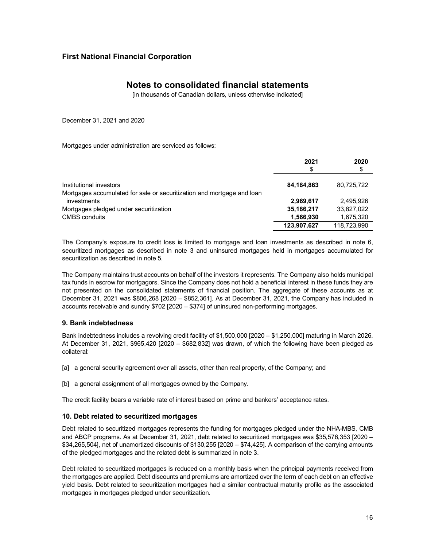## **Notes to consolidated financial statements**

[in thousands of Canadian dollars, unless otherwise indicated]

December 31, 2021 and 2020

Mortgages under administration are serviced as follows:

|                                                                                       | 2021<br>\$  | 2020<br>\$  |
|---------------------------------------------------------------------------------------|-------------|-------------|
| Institutional investors                                                               | 84.184.863  | 80.725.722  |
| Mortgages accumulated for sale or securitization and mortgage and loan<br>investments | 2,969,617   | 2.495.926   |
| Mortgages pledged under securitization                                                | 35,186,217  | 33,827,022  |
| <b>CMBS</b> conduits                                                                  | 1,566,930   | 1,675,320   |
|                                                                                       | 123,907,627 | 118,723,990 |

The Company's exposure to credit loss is limited to mortgage and loan investments as described in note 6, securitized mortgages as described in note 3 and uninsured mortgages held in mortgages accumulated for securitization as described in note 5.

The Company maintains trust accounts on behalf of the investors it represents. The Company also holds municipal tax funds in escrow for mortgagors. Since the Company does not hold a beneficial interest in these funds they are not presented on the consolidated statements of financial position. The aggregate of these accounts as at December 31, 2021 was \$806,268 [2020 – \$852,361]. As at December 31, 2021, the Company has included in accounts receivable and sundry \$702 [2020 – \$374] of uninsured non-performing mortgages.

### **9. Bank indebtedness**

Bank indebtedness includes a revolving credit facility of \$1,500,000 [2020 – \$1,250,000] maturing in March 2026. At December 31, 2021, \$965,420 [2020 – \$682,832] was drawn, of which the following have been pledged as collateral:

- [a] a general security agreement over all assets, other than real property, of the Company; and
- [b] a general assignment of all mortgages owned by the Company.

The credit facility bears a variable rate of interest based on prime and bankers' acceptance rates.

### **10. Debt related to securitized mortgages**

Debt related to securitized mortgages represents the funding for mortgages pledged under the NHA-MBS, CMB and ABCP programs. As at December 31, 2021, debt related to securitized mortgages was \$35,576,353 [2020 – \$34,265,504], net of unamortized discounts of \$130,255 [2020 – \$74,425]. A comparison of the carrying amounts of the pledged mortgages and the related debt is summarized in note 3.

Debt related to securitized mortgages is reduced on a monthly basis when the principal payments received from the mortgages are applied. Debt discounts and premiums are amortized over the term of each debt on an effective yield basis. Debt related to securitization mortgages had a similar contractual maturity profile as the associated mortgages in mortgages pledged under securitization.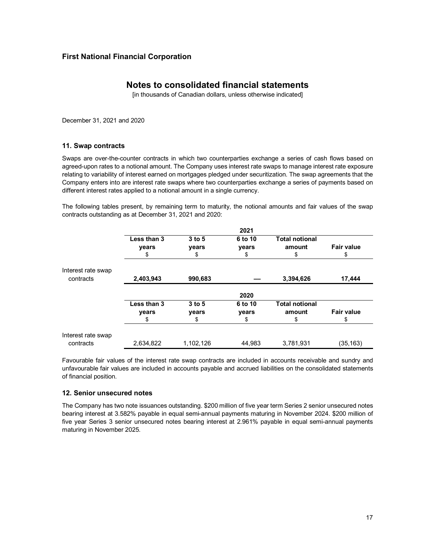## **Notes to consolidated financial statements**

[in thousands of Canadian dollars, unless otherwise indicated]

December 31, 2021 and 2020

### **11. Swap contracts**

Swaps are over-the-counter contracts in which two counterparties exchange a series of cash flows based on agreed-upon rates to a notional amount. The Company uses interest rate swaps to manage interest rate exposure relating to variability of interest earned on mortgages pledged under securitization. The swap agreements that the Company enters into are interest rate swaps where two counterparties exchange a series of payments based on different interest rates applied to a notional amount in a single currency.

The following tables present, by remaining term to maturity, the notional amounts and fair values of the swap contracts outstanding as at December 31, 2021 and 2020:

|                                 |                            |                         | 2021                   |                                       |                         |
|---------------------------------|----------------------------|-------------------------|------------------------|---------------------------------------|-------------------------|
|                                 | Less than 3<br>years<br>\$ | $3$ to 5<br>years<br>\$ | 6 to 10<br>years<br>\$ | <b>Total notional</b><br>amount<br>\$ | <b>Fair value</b><br>\$ |
| Interest rate swap<br>contracts | 2,403,943                  | 990,683                 |                        | 3,394,626                             | 17,444                  |
|                                 |                            |                         | 2020                   |                                       |                         |
|                                 | Less than 3                | $3$ to 5                | 6 to 10                | <b>Total notional</b>                 |                         |
|                                 | years                      | years                   | years                  | amount                                | <b>Fair value</b>       |
|                                 | \$                         | \$                      | \$                     | \$                                    | \$                      |
| Interest rate swap              |                            |                         |                        |                                       |                         |
| contracts                       | 2,634,822                  | 1,102,126               | 44,983                 | 3,781,931                             | (35,163)                |

Favourable fair values of the interest rate swap contracts are included in accounts receivable and sundry and unfavourable fair values are included in accounts payable and accrued liabilities on the consolidated statements of financial position.

### **12. Senior unsecured notes**

The Company has two note issuances outstanding. \$200 million of five year term Series 2 senior unsecured notes bearing interest at 3.582% payable in equal semi-annual payments maturing in November 2024. \$200 million of five year Series 3 senior unsecured notes bearing interest at 2.961% payable in equal semi-annual payments maturing in November 2025.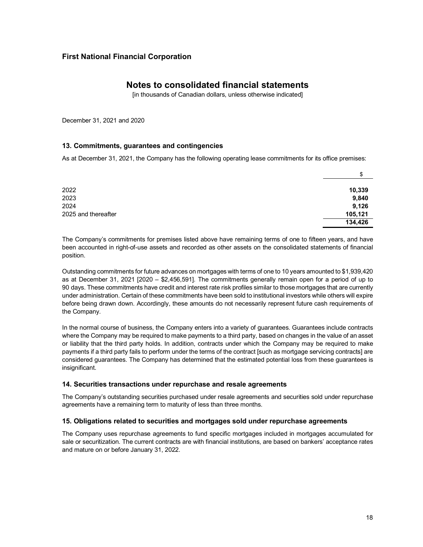## **Notes to consolidated financial statements**

[in thousands of Canadian dollars, unless otherwise indicated]

December 31, 2021 and 2020

### **13. Commitments, guarantees and contingencies**

As at December 31, 2021, the Company has the following operating lease commitments for its office premises:

|                     | \$      |
|---------------------|---------|
| 2022                | 10,339  |
| 2023                | 9,840   |
| 2024                | 9,126   |
| 2025 and thereafter | 105,121 |
|                     | 134,426 |

The Company's commitments for premises listed above have remaining terms of one to fifteen years, and have been accounted in right-of-use assets and recorded as other assets on the consolidated statements of financial position.

Outstanding commitments for future advances on mortgages with terms of one to 10 years amounted to \$1,939,420 as at December 31, 2021 [2020 – \$2,456,591]. The commitments generally remain open for a period of up to 90 days. These commitments have credit and interest rate risk profiles similar to those mortgages that are currently under administration. Certain of these commitments have been sold to institutional investors while others will expire before being drawn down. Accordingly, these amounts do not necessarily represent future cash requirements of the Company.

In the normal course of business, the Company enters into a variety of guarantees. Guarantees include contracts where the Company may be required to make payments to a third party, based on changes in the value of an asset or liability that the third party holds. In addition, contracts under which the Company may be required to make payments if a third party fails to perform under the terms of the contract [such as mortgage servicing contracts] are considered guarantees. The Company has determined that the estimated potential loss from these guarantees is insignificant.

### **14. Securities transactions under repurchase and resale agreements**

The Company's outstanding securities purchased under resale agreements and securities sold under repurchase agreements have a remaining term to maturity of less than three months.

### **15. Obligations related to securities and mortgages sold under repurchase agreements**

The Company uses repurchase agreements to fund specific mortgages included in mortgages accumulated for sale or securitization. The current contracts are with financial institutions, are based on bankers' acceptance rates and mature on or before January 31, 2022.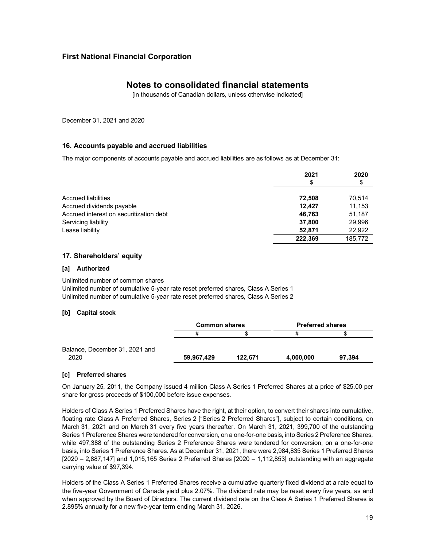## **Notes to consolidated financial statements**

[in thousands of Canadian dollars, unless otherwise indicated]

December 31, 2021 and 2020

### **16. Accounts payable and accrued liabilities**

The major components of accounts payable and accrued liabilities are as follows as at December 31:

|                                         | 2021    | 2020    |
|-----------------------------------------|---------|---------|
|                                         | \$      | \$      |
| Accrued liabilities                     | 72.508  | 70,514  |
| Accrued dividends payable               | 12.427  | 11,153  |
| Accrued interest on securitization debt | 46,763  | 51,187  |
| Servicing liability                     | 37.800  | 29,996  |
| Lease liability                         | 52.871  | 22,922  |
|                                         | 222.369 | 185,772 |

### **17. Shareholders' equity**

### **[a] Authorized**

Unlimited number of common shares Unlimited number of cumulative 5-year rate reset preferred shares, Class A Series 1 Unlimited number of cumulative 5-year rate reset preferred shares, Class A Series 2

### **[b] Capital stock**

|                                | <b>Common shares</b> |         | <b>Preferred shares</b> |        |
|--------------------------------|----------------------|---------|-------------------------|--------|
|                                |                      |         |                         |        |
| Balance, December 31, 2021 and |                      |         |                         |        |
| 2020                           | 59.967.429           | 122.671 | 4,000,000               | 97.394 |

### **[c] Preferred shares**

On January 25, 2011, the Company issued 4 million Class A Series 1 Preferred Shares at a price of \$25.00 per share for gross proceeds of \$100,000 before issue expenses.

Holders of Class A Series 1 Preferred Shares have the right, at their option, to convert their shares into cumulative, floating rate Class A Preferred Shares, Series 2 ["Series 2 Preferred Shares"], subject to certain conditions, on March 31, 2021 and on March 31 every five years thereafter. On March 31, 2021, 399,700 of the outstanding Series 1 Preference Shares were tendered for conversion, on a one-for-one basis, into Series 2 Preference Shares, while 497,388 of the outstanding Series 2 Preference Shares were tendered for conversion, on a one-for-one basis, into Series 1 Preference Shares. As at December 31, 2021, there were 2,984,835 Series 1 Preferred Shares [2020 – 2,887,147] and 1,015,165 Series 2 Preferred Shares [2020 – 1,112,853] outstanding with an aggregate carrying value of \$97,394.

Holders of the Class A Series 1 Preferred Shares receive a cumulative quarterly fixed dividend at a rate equal to the five-year Government of Canada yield plus 2.07%. The dividend rate may be reset every five years, as and when approved by the Board of Directors. The current dividend rate on the Class A Series 1 Preferred Shares is 2.895% annually for a new five-year term ending March 31, 2026.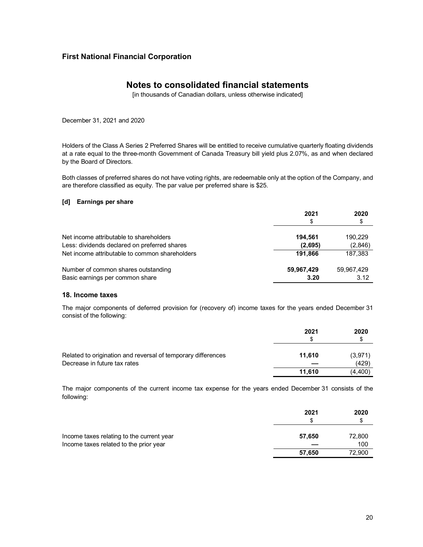## **Notes to consolidated financial statements**

[in thousands of Canadian dollars, unless otherwise indicated]

December 31, 2021 and 2020

Holders of the Class A Series 2 Preferred Shares will be entitled to receive cumulative quarterly floating dividends at a rate equal to the three-month Government of Canada Treasury bill yield plus 2.07%, as and when declared by the Board of Directors.

Both classes of preferred shares do not have voting rights, are redeemable only at the option of the Company, and are therefore classified as equity. The par value per preferred share is \$25.

### **[d] Earnings per share**

|                                                | 2021       | 2020<br>\$ |
|------------------------------------------------|------------|------------|
| Net income attributable to shareholders        | 194,561    | 190,229    |
| Less: dividends declared on preferred shares   | (2,695)    | (2,846)    |
| Net income attributable to common shareholders | 191.866    | 187,383    |
| Number of common shares outstanding            | 59,967,429 | 59,967,429 |
| Basic earnings per common share                | 3.20       | 3.12       |

### **18. Income taxes**

The major components of deferred provision for (recovery of) income taxes for the years ended December 31 consist of the following:

|                                                              | 2021   | 2020<br>S |
|--------------------------------------------------------------|--------|-----------|
| Related to origination and reversal of temporary differences | 11.610 | (3,971)   |
| Decrease in future tax rates                                 |        | (429)     |
|                                                              | 11.610 | (4,400)   |

The major components of the current income tax expense for the years ended December 31 consists of the following:

|                                                                                     | 2021<br>S | 2020<br>S     |
|-------------------------------------------------------------------------------------|-----------|---------------|
| Income taxes relating to the current year<br>Income taxes related to the prior year | 57,650    | 72,800<br>100 |
|                                                                                     | 57.650    | 72,900        |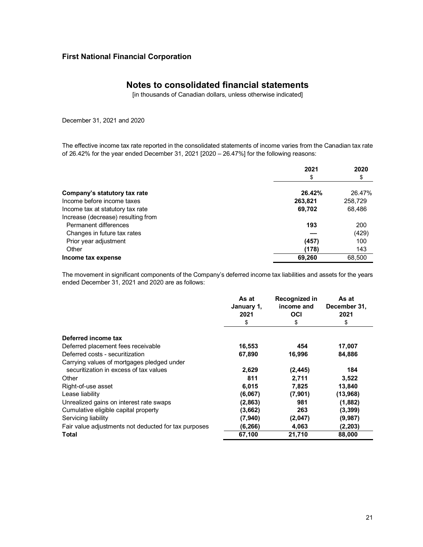## **Notes to consolidated financial statements**

[in thousands of Canadian dollars, unless otherwise indicated]

December 31, 2021 and 2020

The effective income tax rate reported in the consolidated statements of income varies from the Canadian tax rate of 26.42% for the year ended December 31, 2021 [2020 – 26.47%] for the following reasons:

|                                    | 2021    | 2020    |
|------------------------------------|---------|---------|
|                                    | \$      | \$      |
| Company's statutory tax rate       | 26.42%  | 26.47%  |
| Income before income taxes         | 263,821 | 258,729 |
| Income tax at statutory tax rate   | 69,702  | 68,486  |
| Increase (decrease) resulting from |         |         |
| Permanent differences              | 193     | 200     |
| Changes in future tax rates        |         | (429)   |
| Prior year adjustment              | (457)   | 100     |
| Other                              | (178)   | 143     |
| Income tax expense                 | 69.260  | 68.500  |

The movement in significant components of the Company's deferred income tax liabilities and assets for the years ended December 31, 2021 and 2020 are as follows:

|                                                      | As at<br>January 1,<br>2021 | Recognized in<br>income and<br>OCI | As at<br>December 31,<br>2021 |
|------------------------------------------------------|-----------------------------|------------------------------------|-------------------------------|
|                                                      | \$                          | \$                                 | \$                            |
| Deferred income tax                                  |                             |                                    |                               |
| Deferred placement fees receivable                   | 16,553                      | 454                                | 17,007                        |
| Deferred costs - securitization                      | 67,890                      | 16,996                             | 84,886                        |
| Carrying values of mortgages pledged under           |                             |                                    |                               |
| securitization in excess of tax values               | 2,629                       | (2, 445)                           | 184                           |
| Other                                                | 811                         | 2.711                              | 3,522                         |
| Right-of-use asset                                   | 6,015                       | 7,825                              | 13,840                        |
| Lease liability                                      | (6,067)                     | (7,901)                            | (13,968)                      |
| Unrealized gains on interest rate swaps              | (2,863)                     | 981                                | (1,882)                       |
| Cumulative eligible capital property                 | (3,662)                     | 263                                | (3,399)                       |
| Servicing liability                                  | (7,940)                     | (2,047)                            | (9,987)                       |
| Fair value adjustments not deducted for tax purposes | (6, 266)                    | 4,063                              | (2, 203)                      |
| Total                                                | 67,100                      | 21,710                             | 88,000                        |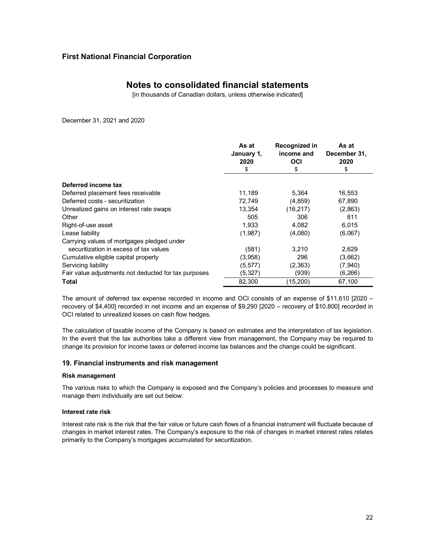## **Notes to consolidated financial statements**

[in thousands of Canadian dollars, unless otherwise indicated]

December 31, 2021 and 2020

|                                                      | As at<br>January 1,<br>2020<br>\$ | Recognized in<br>income and<br>OCI<br>S | As at<br>December 31,<br>2020<br>\$ |
|------------------------------------------------------|-----------------------------------|-----------------------------------------|-------------------------------------|
|                                                      |                                   |                                         |                                     |
| Deferred income tax                                  |                                   |                                         |                                     |
| Deferred placement fees receivable                   | 11,189                            | 5,364                                   | 16,553                              |
| Deferred costs - securitization                      | 72,749                            | (4, 859)                                | 67,890                              |
| Unrealized gains on interest rate swaps              | 13,354                            | (16, 217)                               | (2,863)                             |
| Other                                                | 505                               | 306                                     | 811                                 |
| Right-of-use asset                                   | 1,933                             | 4,082                                   | 6,015                               |
| Lease liability                                      | (1,987)                           | (4,080)                                 | (6,067)                             |
| Carrying values of mortgages pledged under           |                                   |                                         |                                     |
| securitization in excess of tax values               | (581)                             | 3,210                                   | 2,629                               |
| Cumulative eligible capital property                 | (3,958)                           | 296                                     | (3,662)                             |
| Servicing liability                                  | (5,577)                           | (2,363)                                 | (7,940)                             |
| Fair value adjustments not deducted for tax purposes | (5, 327)                          | (939)                                   | (6,266)                             |
| Total                                                | 82,300                            | (15,200)                                | 67,100                              |

The amount of deferred tax expense recorded in income and OCI consists of an expense of \$11,610 [2020 – recovery of \$4,400] recorded in net income and an expense of \$9,290 [2020 – recovery of \$10,800] recorded in OCI related to unrealized losses on cash flow hedges.

The calculation of taxable income of the Company is based on estimates and the interpretation of tax legislation. In the event that the tax authorities take a different view from management, the Company may be required to change its provision for income taxes or deferred income tax balances and the change could be significant.

### **19. Financial instruments and risk management**

### **Risk management**

The various risks to which the Company is exposed and the Company's policies and processes to measure and manage them individually are set out below:

### **Interest rate risk**

Interest rate risk is the risk that the fair value or future cash flows of a financial instrument will fluctuate because of changes in market interest rates. The Company's exposure to the risk of changes in market interest rates relates primarily to the Company's mortgages accumulated for securitization.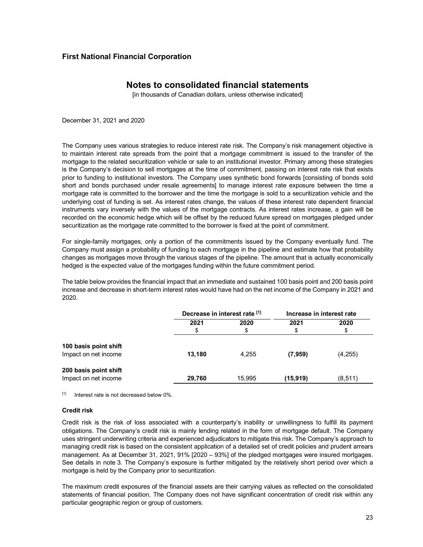## **Notes to consolidated financial statements**

[in thousands of Canadian dollars, unless otherwise indicated]

December 31, 2021 and 2020

The Company uses various strategies to reduce interest rate risk. The Company's risk management objective is to maintain interest rate spreads from the point that a mortgage commitment is issued to the transfer of the mortgage to the related securitization vehicle or sale to an institutional investor. Primary among these strategies is the Company's decision to sell mortgages at the time of commitment, passing on interest rate risk that exists prior to funding to institutional investors. The Company uses synthetic bond forwards [consisting of bonds sold short and bonds purchased under resale agreements] to manage interest rate exposure between the time a mortgage rate is committed to the borrower and the time the mortgage is sold to a securitization vehicle and the underlying cost of funding is set. As interest rates change, the values of these interest rate dependent financial instruments vary inversely with the values of the mortgage contracts. As interest rates increase, a gain will be recorded on the economic hedge which will be offset by the reduced future spread on mortgages pledged under securitization as the mortgage rate committed to the borrower is fixed at the point of commitment.

For single-family mortgages, only a portion of the commitments issued by the Company eventually fund. The Company must assign a probability of funding to each mortgage in the pipeline and estimate how that probability changes as mortgages move through the various stages of the pipeline. The amount that is actually economically hedged is the expected value of the mortgages funding within the future commitment period.

The table below provides the financial impact that an immediate and sustained 100 basis point and 200 basis point increase and decrease in short-term interest rates would have had on the net income of the Company in 2021 and 2020.

|                       |        | Decrease in interest rate [1] |           | Increase in interest rate |
|-----------------------|--------|-------------------------------|-----------|---------------------------|
|                       | 2021   | 2020                          | 2021      | 2020                      |
|                       | \$     | \$                            | \$        | \$                        |
| 100 basis point shift |        |                               |           |                           |
| Impact on net income  | 13,180 | 4.255                         | (7,959)   | (4,255)                   |
| 200 basis point shift |        |                               |           |                           |
| Impact on net income  | 29.760 | 15.995                        | (15, 919) | (8, 511)                  |

 $[1]$  Interest rate is not decreased below  $0\%$ 

### **Credit risk**

Credit risk is the risk of loss associated with a counterparty's inability or unwillingness to fulfill its payment obligations. The Company's credit risk is mainly lending related in the form of mortgage default. The Company uses stringent underwriting criteria and experienced adjudicators to mitigate this risk. The Company's approach to managing credit risk is based on the consistent application of a detailed set of credit policies and prudent arrears management. As at December 31, 2021, 91% [2020 – 93%] of the pledged mortgages were insured mortgages. See details in note 3. The Company's exposure is further mitigated by the relatively short period over which a mortgage is held by the Company prior to securitization.

The maximum credit exposures of the financial assets are their carrying values as reflected on the consolidated statements of financial position. The Company does not have significant concentration of credit risk within any particular geographic region or group of customers.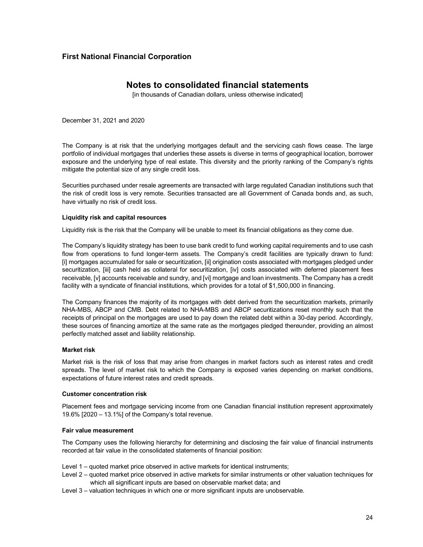## **Notes to consolidated financial statements**

[in thousands of Canadian dollars, unless otherwise indicated]

December 31, 2021 and 2020

The Company is at risk that the underlying mortgages default and the servicing cash flows cease. The large portfolio of individual mortgages that underlies these assets is diverse in terms of geographical location, borrower exposure and the underlying type of real estate. This diversity and the priority ranking of the Company's rights mitigate the potential size of any single credit loss.

Securities purchased under resale agreements are transacted with large regulated Canadian institutions such that the risk of credit loss is very remote. Securities transacted are all Government of Canada bonds and, as such, have virtually no risk of credit loss.

### **Liquidity risk and capital resources**

Liquidity risk is the risk that the Company will be unable to meet its financial obligations as they come due.

The Company's liquidity strategy has been to use bank credit to fund working capital requirements and to use cash flow from operations to fund longer-term assets. The Company's credit facilities are typically drawn to fund: [i] mortgages accumulated for sale or securitization, [ii] origination costs associated with mortgages pledged under securitization, [iii] cash held as collateral for securitization, [iv] costs associated with deferred placement fees receivable, [v] accounts receivable and sundry, and [vi] mortgage and loan investments. The Company has a credit facility with a syndicate of financial institutions, which provides for a total of \$1,500,000 in financing.

The Company finances the majority of its mortgages with debt derived from the securitization markets, primarily NHA-MBS, ABCP and CMB. Debt related to NHA-MBS and ABCP securitizations reset monthly such that the receipts of principal on the mortgages are used to pay down the related debt within a 30-day period. Accordingly, these sources of financing amortize at the same rate as the mortgages pledged thereunder, providing an almost perfectly matched asset and liability relationship.

### **Market risk**

Market risk is the risk of loss that may arise from changes in market factors such as interest rates and credit spreads. The level of market risk to which the Company is exposed varies depending on market conditions, expectations of future interest rates and credit spreads.

### **Customer concentration risk**

Placement fees and mortgage servicing income from one Canadian financial institution represent approximately 19.6% [2020 – 13.1%] of the Company's total revenue.

### **Fair value measurement**

The Company uses the following hierarchy for determining and disclosing the fair value of financial instruments recorded at fair value in the consolidated statements of financial position:

- Level 1 quoted market price observed in active markets for identical instruments;
- Level 2 quoted market price observed in active markets for similar instruments or other valuation techniques for which all significant inputs are based on observable market data; and
- Level 3 valuation techniques in which one or more significant inputs are unobservable.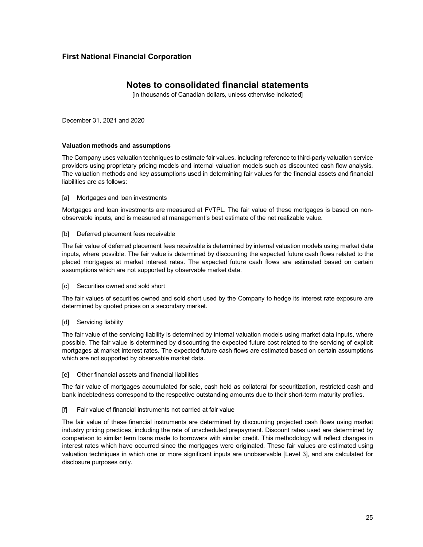## **Notes to consolidated financial statements**

[in thousands of Canadian dollars, unless otherwise indicated]

December 31, 2021 and 2020

### **Valuation methods and assumptions**

The Company uses valuation techniques to estimate fair values, including reference to third-party valuation service providers using proprietary pricing models and internal valuation models such as discounted cash flow analysis. The valuation methods and key assumptions used in determining fair values for the financial assets and financial liabilities are as follows:

#### [a] Mortgages and loan investments

Mortgages and loan investments are measured at FVTPL. The fair value of these mortgages is based on nonobservable inputs, and is measured at management's best estimate of the net realizable value.

#### [b] Deferred placement fees receivable

The fair value of deferred placement fees receivable is determined by internal valuation models using market data inputs, where possible. The fair value is determined by discounting the expected future cash flows related to the placed mortgages at market interest rates. The expected future cash flows are estimated based on certain assumptions which are not supported by observable market data.

### [c] Securities owned and sold short

The fair values of securities owned and sold short used by the Company to hedge its interest rate exposure are determined by quoted prices on a secondary market.

### [d] Servicing liability

The fair value of the servicing liability is determined by internal valuation models using market data inputs, where possible. The fair value is determined by discounting the expected future cost related to the servicing of explicit mortgages at market interest rates. The expected future cash flows are estimated based on certain assumptions which are not supported by observable market data.

[e] Other financial assets and financial liabilities

The fair value of mortgages accumulated for sale, cash held as collateral for securitization, restricted cash and bank indebtedness correspond to the respective outstanding amounts due to their short-term maturity profiles.

[f] Fair value of financial instruments not carried at fair value

The fair value of these financial instruments are determined by discounting projected cash flows using market industry pricing practices, including the rate of unscheduled prepayment. Discount rates used are determined by comparison to similar term loans made to borrowers with similar credit. This methodology will reflect changes in interest rates which have occurred since the mortgages were originated. These fair values are estimated using valuation techniques in which one or more significant inputs are unobservable [Level 3], and are calculated for disclosure purposes only.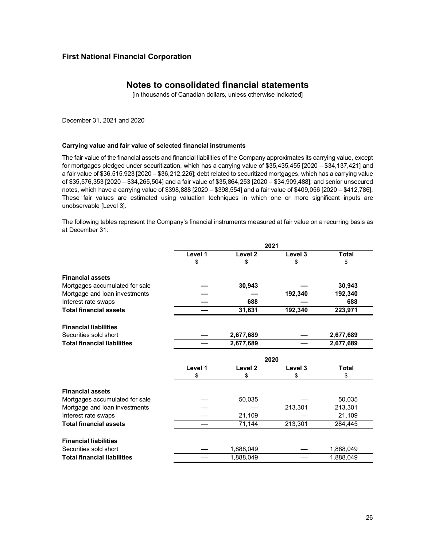## **Notes to consolidated financial statements**

[in thousands of Canadian dollars, unless otherwise indicated]

December 31, 2021 and 2020

#### **Carrying value and fair value of selected financial instruments**

The fair value of the financial assets and financial liabilities of the Company approximates its carrying value, except for mortgages pledged under securitization, which has a carrying value of \$35,435,455 [2020 – \$34,137,421] and a fair value of \$36,515,923 [2020 – \$36,212,226]; debt related to securitized mortgages, which has a carrying value of \$35,576,353 [2020 – \$34,265,504] and a fair value of \$35,864,253 [2020 – \$34,909,488]; and senior unsecured notes, which have a carrying value of \$398,888 [2020 – \$398,554] and a fair value of \$409,056 [2020 – \$412,786]. These fair values are estimated using valuation techniques in which one or more significant inputs are unobservable [Level 3].

The following tables represent the Company's financial instruments measured at fair value on a recurring basis as at December 31:

|                                    |         |                    | 2021    |              |
|------------------------------------|---------|--------------------|---------|--------------|
|                                    | Level 1 | Level <sub>2</sub> | Level 3 | <b>Total</b> |
|                                    | \$      | \$                 | \$      | \$           |
| <b>Financial assets</b>            |         |                    |         |              |
| Mortgages accumulated for sale     |         | 30,943             |         | 30,943       |
| Mortgage and loan investments      |         |                    | 192,340 | 192,340      |
| Interest rate swaps                |         | 688                |         | 688          |
| <b>Total financial assets</b>      |         | 31,631             | 192,340 | 223,971      |
| <b>Financial liabilities</b>       |         |                    |         |              |
| Securities sold short              |         | 2,677,689          |         | 2,677,689    |
| <b>Total financial liabilities</b> |         | 2,677,689          |         | 2,677,689    |
|                                    |         |                    | 2020    |              |
|                                    | Level 1 | Level <sub>2</sub> | Level 3 | <b>Total</b> |
|                                    | \$      | \$                 | \$      | \$           |
| <b>Financial assets</b>            |         |                    |         |              |
| Mortgages accumulated for sale     |         | 50,035             |         | 50,035       |
| Mortgage and loan investments      |         |                    | 213,301 | 213,301      |
| Interest rate swaps                |         | 21,109             |         | 21,109       |
| <b>Total financial assets</b>      |         | 71,144             | 213,301 | 284,445      |
| <b>Financial liabilities</b>       |         |                    |         |              |
| Securities sold short              |         | 1,888,049          |         | 1,888,049    |
| <b>Total financial liabilities</b> |         | 1,888,049          |         | 1,888,049    |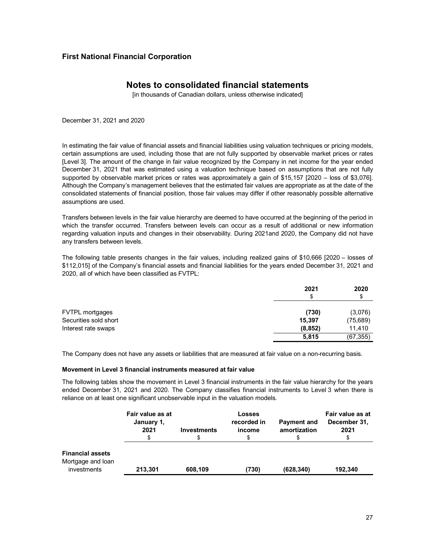## **Notes to consolidated financial statements**

[in thousands of Canadian dollars, unless otherwise indicated]

December 31, 2021 and 2020

In estimating the fair value of financial assets and financial liabilities using valuation techniques or pricing models, certain assumptions are used, including those that are not fully supported by observable market prices or rates [Level 3]. The amount of the change in fair value recognized by the Company in net income for the year ended December 31, 2021 that was estimated using a valuation technique based on assumptions that are not fully supported by observable market prices or rates was approximately a gain of \$15,157 [2020 – loss of \$3,076]. Although the Company's management believes that the estimated fair values are appropriate as at the date of the consolidated statements of financial position, those fair values may differ if other reasonably possible alternative assumptions are used.

Transfers between levels in the fair value hierarchy are deemed to have occurred at the beginning of the period in which the transfer occurred. Transfers between levels can occur as a result of additional or new information regarding valuation inputs and changes in their observability. During 2021and 2020, the Company did not have any transfers between levels.

The following table presents changes in the fair values, including realized gains of \$10,666 [2020 – losses of \$112,015] of the Company's financial assets and financial liabilities for the years ended December 31, 2021 and 2020, all of which have been classified as FVTPL:

|                       | 2021<br>\$ | 2020<br>\$ |
|-----------------------|------------|------------|
| FVTPL mortgages       | (730)      | (3,076)    |
| Securities sold short | 15,397     | (75, 689)  |
| Interest rate swaps   | (8, 852)   | 11,410     |
|                       | 5,815      | (67, 355)  |

The Company does not have any assets or liabilities that are measured at fair value on a non-recurring basis.

### **Movement in Level 3 financial instruments measured at fair value**

The following tables show the movement in Level 3 financial instruments in the fair value hierarchy for the years ended December 31, 2021 and 2020. The Company classifies financial instruments to Level 3 when there is reliance on at least one significant unobservable input in the valuation models.

|                                                             | Fair value as at<br>January 1,<br>2021 | <b>Investments</b> | <b>Losses</b><br>recorded in<br>income<br>\$ | <b>Payment and</b><br>amortization | Fair value as at<br>December 31,<br>2021 |
|-------------------------------------------------------------|----------------------------------------|--------------------|----------------------------------------------|------------------------------------|------------------------------------------|
| <b>Financial assets</b><br>Mortgage and loan<br>investments | 213.301                                | 608,109            | (730)                                        | (628, 340)                         | 192.340                                  |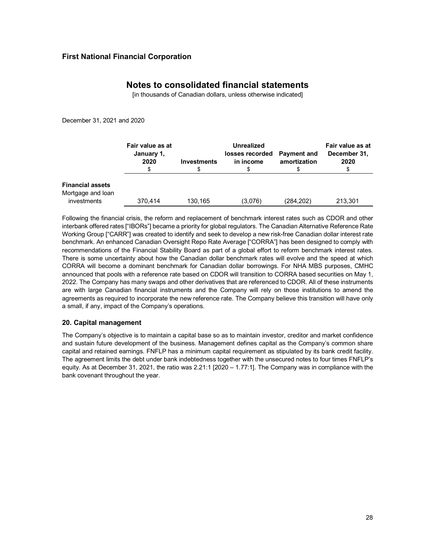## **Notes to consolidated financial statements**

[in thousands of Canadian dollars, unless otherwise indicated]

December 31, 2021 and 2020

|                                                             | Fair value as at<br>January 1,<br>2020 | <b>Investments</b> | <b>Unrealized</b><br>losses recorded<br>in income | <b>Payment and</b><br>amortization | Fair value as at<br>December 31,<br>2020 |
|-------------------------------------------------------------|----------------------------------------|--------------------|---------------------------------------------------|------------------------------------|------------------------------------------|
| <b>Financial assets</b><br>Mortgage and loan<br>investments | 370.414                                | 130.165            | (3,076)                                           | (284,202)                          | 213,301                                  |

Following the financial crisis, the reform and replacement of benchmark interest rates such as CDOR and other interbank offered rates ["IBORs"] became a priority for global regulators. The Canadian Alternative Reference Rate Working Group ["CARR"] was created to identify and seek to develop a new risk-free Canadian dollar interest rate benchmark. An enhanced Canadian Oversight Repo Rate Average ["CORRA"] has been designed to comply with recommendations of the Financial Stability Board as part of a global effort to reform benchmark interest rates. There is some uncertainty about how the Canadian dollar benchmark rates will evolve and the speed at which CORRA will become a dominant benchmark for Canadian dollar borrowings. For NHA MBS purposes, CMHC announced that pools with a reference rate based on CDOR will transition to CORRA based securities on May 1, 2022. The Company has many swaps and other derivatives that are referenced to CDOR. All of these instruments are with large Canadian financial instruments and the Company will rely on those institutions to amend the agreements as required to incorporate the new reference rate. The Company believe this transition will have only a small, if any, impact of the Company's operations.

### **20. Capital management**

The Company's objective is to maintain a capital base so as to maintain investor, creditor and market confidence and sustain future development of the business. Management defines capital as the Company's common share capital and retained earnings. FNFLP has a minimum capital requirement as stipulated by its bank credit facility. The agreement limits the debt under bank indebtedness together with the unsecured notes to four times FNFLP's equity. As at December 31, 2021, the ratio was 2.21:1 [2020 – 1.77:1]. The Company was in compliance with the bank covenant throughout the year.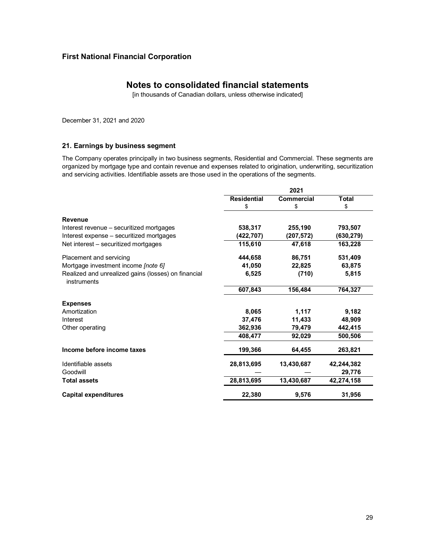## **Notes to consolidated financial statements**

[in thousands of Canadian dollars, unless otherwise indicated]

December 31, 2021 and 2020

### **21. Earnings by business segment**

The Company operates principally in two business segments, Residential and Commercial. These segments are organized by mortgage type and contain revenue and expenses related to origination, underwriting, securitization and servicing activities. Identifiable assets are those used in the operations of the segments.

|                                                                    |                    | 2021       |              |
|--------------------------------------------------------------------|--------------------|------------|--------------|
|                                                                    | <b>Residential</b> | Commercial | <b>Total</b> |
|                                                                    | \$                 | \$         | \$           |
| <b>Revenue</b>                                                     |                    |            |              |
| Interest revenue – securitized mortgages                           | 538,317            | 255,190    | 793,507      |
| Interest expense - securitized mortgages                           | (422,707)          | (207,572)  | (630, 279)   |
| Net interest – securitized mortgages                               | 115.610            | 47,618     | 163,228      |
| Placement and servicing                                            | 444,658            | 86,751     | 531,409      |
| Mortgage investment income [note 6]                                | 41,050             | 22,825     | 63,875       |
| Realized and unrealized gains (losses) on financial<br>instruments | 6,525              | (710)      | 5,815        |
|                                                                    | 607,843            | 156,484    | 764,327      |
| <b>Expenses</b>                                                    |                    |            |              |
| Amortization                                                       | 8,065              | 1,117      | 9,182        |
| Interest                                                           | 37,476             | 11,433     | 48,909       |
| Other operating                                                    | 362,936            | 79,479     | 442,415      |
|                                                                    | 408.477            | 92,029     | 500.506      |
| Income before income taxes                                         | 199,366            | 64.455     | 263,821      |
| Identifiable assets                                                | 28,813,695         | 13,430,687 | 42,244,382   |
| Goodwill                                                           |                    |            | 29,776       |
| <b>Total assets</b>                                                | 28,813,695         | 13,430,687 | 42,274,158   |
| <b>Capital expenditures</b>                                        | 22,380             | 9,576      | 31,956       |